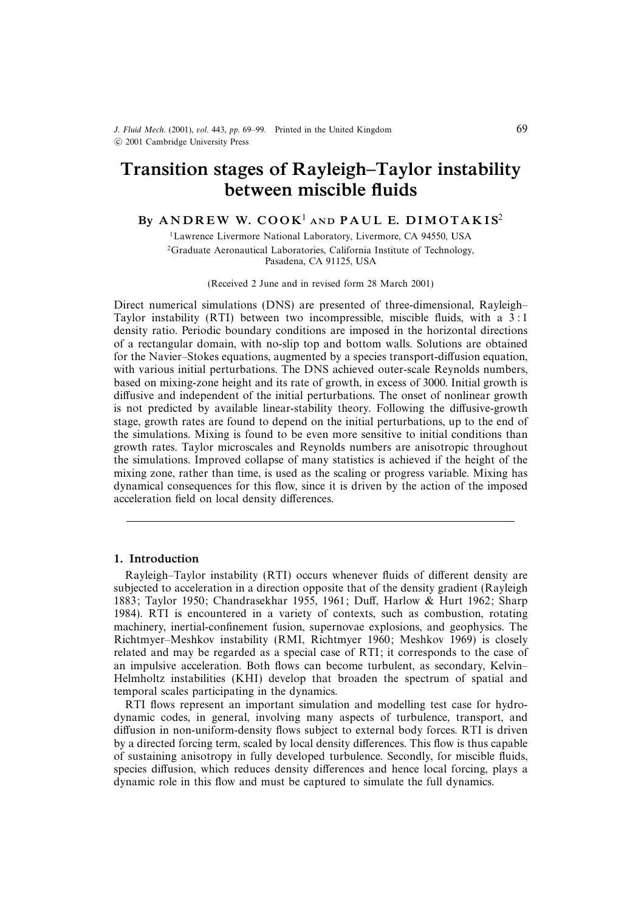# Transition stages of Rayleigh–Taylor instability between miscible fluids

# By ANDREW W. COOK<sup>1</sup> AND PAUL E. DIMOTAKIS<sup>2</sup>

<sup>1</sup>Lawrence Livermore National Laboratory, Livermore, CA 94550, USA <sup>2</sup>Graduate Aeronautical Laboratories, California Institute of Technology, Pasadena, CA 91125, USA

(Received 2 June and in revised form 28 March 2001)

Direct numerical simulations (DNS) are presented of three-dimensional, Rayleigh– Taylor instability (RTI) between two incompressible, miscible fluids, with a 3 : 1 density ratio. Periodic boundary conditions are imposed in the horizontal directions of a rectangular domain, with no-slip top and bottom walls. Solutions are obtained for the Navier–Stokes equations, augmented by a species transport-diffusion equation, with various initial perturbations. The DNS achieved outer-scale Reynolds numbers, based on mixing-zone height and its rate of growth, in excess of 3000. Initial growth is diffusive and independent of the initial perturbations. The onset of nonlinear growth is not predicted by available linear-stability theory. Following the diffusive-growth stage, growth rates are found to depend on the initial perturbations, up to the end of the simulations. Mixing is found to be even more sensitive to initial conditions than growth rates. Taylor microscales and Reynolds numbers are anisotropic throughout the simulations. Improved collapse of many statistics is achieved if the height of the mixing zone, rather than time, is used as the scaling or progress variable. Mixing has dynamical consequences for this flow, since it is driven by the action of the imposed acceleration field on local density differences.

#### 1. Introduction

Rayleigh–Taylor instability (RTI) occurs whenever fluids of different density are subjected to acceleration in a direction opposite that of the density gradient (Rayleigh 1883; Taylor 1950; Chandrasekhar 1955, 1961; Duff, Harlow & Hurt 1962; Sharp 1984). RTI is encountered in a variety of contexts, such as combustion, rotating machinery, inertial-confinement fusion, supernovae explosions, and geophysics. The Richtmyer–Meshkov instability (RMI, Richtmyer 1960; Meshkov 1969) is closely related and may be regarded as a special case of RTI; it corresponds to the case of an impulsive acceleration. Both flows can become turbulent, as secondary, Kelvin– Helmholtz instabilities (KHI) develop that broaden the spectrum of spatial and temporal scales participating in the dynamics.

RTI flows represent an important simulation and modelling test case for hydrodynamic codes, in general, involving many aspects of turbulence, transport, and diffusion in non-uniform-density flows subject to external body forces. RTI is driven by a directed forcing term, scaled by local density differences. This flow is thus capable of sustaining anisotropy in fully developed turbulence. Secondly, for miscible fluids, species diffusion, which reduces density differences and hence local forcing, plays a dynamic role in this flow and must be captured to simulate the full dynamics.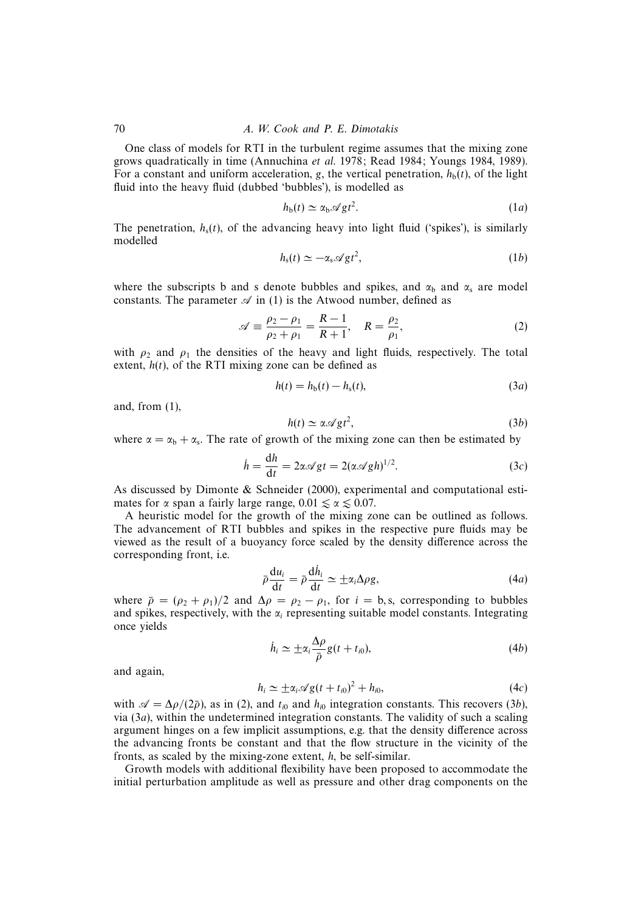One class of models for RTI in the turbulent regime assumes that the mixing zone grows quadratically in time (Annuchina et al. 1978; Read 1984; Youngs 1984, 1989). For a constant and uniform acceleration, g, the vertical penetration,  $h<sub>b</sub>(t)$ , of the light fluid into the heavy fluid (dubbed 'bubbles'), is modelled as

$$
h_{\rm b}(t) \simeq \alpha_{\rm b} \mathscr{A}gt^2. \tag{1a}
$$

The penetration,  $h_s(t)$ , of the advancing heavy into light fluid ('spikes'), is similarly modelled

$$
h_{\rm s}(t) \simeq -\alpha_{\rm s} \mathscr{A}gt^2, \tag{1b}
$$

where the subscripts b and s denote bubbles and spikes, and  $\alpha_b$  and  $\alpha_s$  are model constants. The parameter  $\mathscr A$  in (1) is the Atwood number, defined as

$$
\mathscr{A} \equiv \frac{\rho_2 - \rho_1}{\rho_2 + \rho_1} = \frac{R - 1}{R + 1}, \quad R = \frac{\rho_2}{\rho_1},
$$
 (2)

with  $\rho_2$  and  $\rho_1$  the densities of the heavy and light fluids, respectively. The total extent,  $h(t)$ , of the RTI mixing zone can be defined as

$$
h(t) = h_{b}(t) - h_{s}(t),
$$
\n(3*a*)

and, from (1),

$$
h(t) \simeq \alpha \mathscr{A}gt^2,\tag{3b}
$$

where  $\alpha = \alpha_b + \alpha_s$ . The rate of growth of the mixing zone can then be estimated by

$$
\dot{h} = \frac{\mathrm{d}h}{\mathrm{d}t} = 2\alpha \mathscr{A}gt = 2(\alpha \mathscr{A}gh)^{1/2}.
$$
 (3c)

As discussed by Dimonte & Schneider (2000), experimental and computational estimates for  $\alpha$  span a fairly large range,  $0.01 \le \alpha \le 0.07$ .

A heuristic model for the growth of the mixing zone can be outlined as follows. The advancement of RTI bubbles and spikes in the respective pure fluids may be viewed as the result of a buoyancy force scaled by the density difference across the corresponding front, i.e.

$$
\bar{\rho}\frac{\mathrm{d}u_i}{\mathrm{d}t} = \bar{\rho}\frac{\mathrm{d}\dot{h}_i}{\mathrm{d}t} \simeq \pm \alpha_i \Delta \rho g,\tag{4a}
$$

where  $\bar{\rho} = (\rho_2 + \rho_1)/2$  and  $\Delta \rho = \rho_2 - \rho_1$ , for  $i =$  b, s, corresponding to bubbles and spikes, respectively, with the  $\alpha_i$  representing suitable model constants. Integrating once yields

$$
\dot{h}_i \simeq \pm \alpha_i \frac{\Delta \rho}{\bar{\rho}} g(t + t_{i0}),\tag{4b}
$$

and again,

$$
h_i \simeq \pm \alpha_i \mathscr{A} g(t + t_{i0})^2 + h_{i0}, \qquad (4c)
$$

with  $\mathcal{A} = \Delta \rho/(2\bar{\rho})$ , as in (2), and  $t_{i0}$  and  $h_{i0}$  integration constants. This recovers (3b), via  $(3a)$ , within the undetermined integration constants. The validity of such a scaling argument hinges on a few implicit assumptions, e.g. that the density difference across the advancing fronts be constant and that the flow structure in the vicinity of the fronts, as scaled by the mixing-zone extent, h, be self-similar.

Growth models with additional flexibility have been proposed to accommodate the initial perturbation amplitude as well as pressure and other drag components on the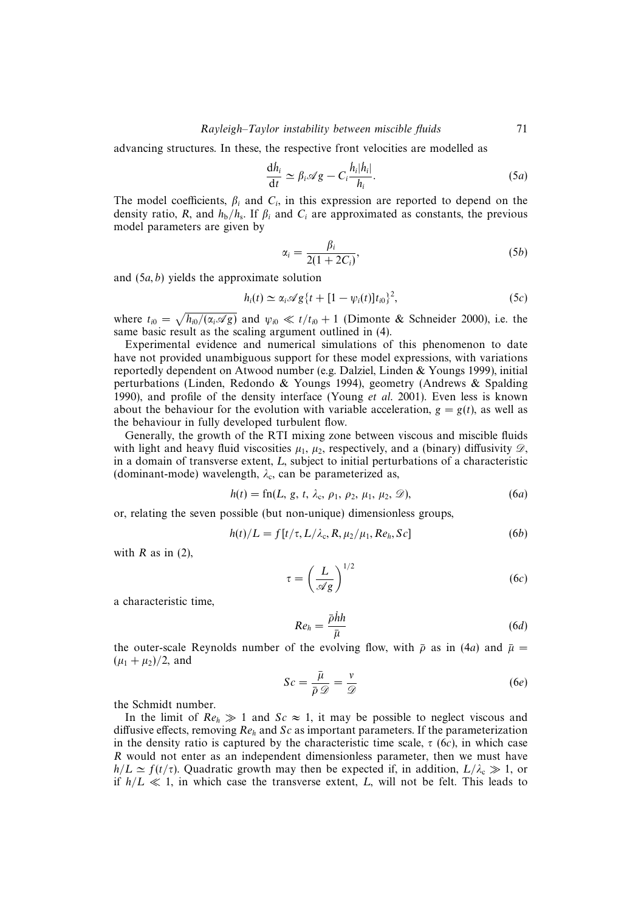advancing structures. In these, the respective front velocities are modelled as

$$
\frac{\mathrm{d}\dot{h}_i}{\mathrm{d}t} \simeq \beta_i \mathscr{A}g - C_i \frac{\dot{h}_i |\dot{h}_i|}{h_i}.\tag{5a}
$$

The model coefficients,  $\beta_i$  and  $C_i$ , in this expression are reported to depend on the density ratio, R, and  $h_b/h_s$ . If  $\beta_i$  and  $C_i$  are approximated as constants, the previous model parameters are given by

$$
\alpha_i = \frac{\beta_i}{2(1 + 2C_i)},\tag{5b}
$$

and  $(5a, b)$  yields the approximate solution

$$
h_i(t) \simeq \alpha_i \mathscr{A} g\{t + [1 - \psi_i(t)]t_{i0}\}^2, \tag{5c}
$$

where  $t_{i0} = \sqrt{h_{i0}/(\alpha_i \mathcal{A}g)}$  and  $\psi_{i0} \ll t/t_{i0} + 1$  (Dimonte & Schneider 2000), i.e. the same basic result as the scaling argument outlined in (4).

Experimental evidence and numerical simulations of this phenomenon to date have not provided unambiguous support for these model expressions, with variations reportedly dependent on Atwood number (e.g. Dalziel, Linden & Youngs 1999), initial perturbations (Linden, Redondo & Youngs 1994), geometry (Andrews & Spalding 1990), and profile of the density interface (Young et al. 2001). Even less is known about the behaviour for the evolution with variable acceleration,  $g = g(t)$ , as well as the behaviour in fully developed turbulent flow.

Generally, the growth of the RTI mixing zone between viscous and miscible fluids with light and heavy fluid viscosities  $\mu_1$ ,  $\mu_2$ , respectively, and a (binary) diffusivity  $\mathcal{D}$ , in a domain of transverse extent, L, subject to initial perturbations of a characteristic (dominant-mode) wavelength,  $\lambda_c$ , can be parameterized as,

$$
h(t) = \text{fn}(L, g, t, \lambda_c, \rho_1, \rho_2, \mu_1, \mu_2, \mathcal{D}), \tag{6a}
$$

or, relating the seven possible (but non-unique) dimensionless groups,

$$
h(t)/L = f[t/\tau, L/\lambda_c, R, \mu_2/\mu_1, Re_h, Sc]
$$
 (6b)

with  $R$  as in  $(2)$ ,

$$
\tau = \left(\frac{L}{\mathscr{A}g}\right)^{1/2} \tag{6c}
$$

a characteristic time,

$$
Re_h = \frac{\bar{\rho} \dot{h}h}{\bar{\mu}} \tag{6d}
$$

the outer-scale Reynolds number of the evolving flow, with  $\bar{\rho}$  as in (4a) and  $\bar{\mu} =$  $(\mu_1 + \mu_2)/2$ , and

$$
Sc = \frac{\bar{\mu}}{\bar{\rho}\mathcal{D}} = \frac{v}{\mathcal{D}}
$$
 (6*e*)

the Schmidt number.

In the limit of  $Re_h \gg 1$  and  $Sc \approx 1$ , it may be possible to neglect viscous and diffusive effects, removing  $Re_h$  and Sc as important parameters. If the parameterization in the density ratio is captured by the characteristic time scale,  $\tau$  (6c), in which case R would not enter as an independent dimensionless parameter, then we must have  $h/L \simeq f(t/\tau)$ . Quadratic growth may then be expected if, in addition,  $L/\lambda_c \gg 1$ , or if  $h/L \ll 1$ , in which case the transverse extent, L, will not be felt. This leads to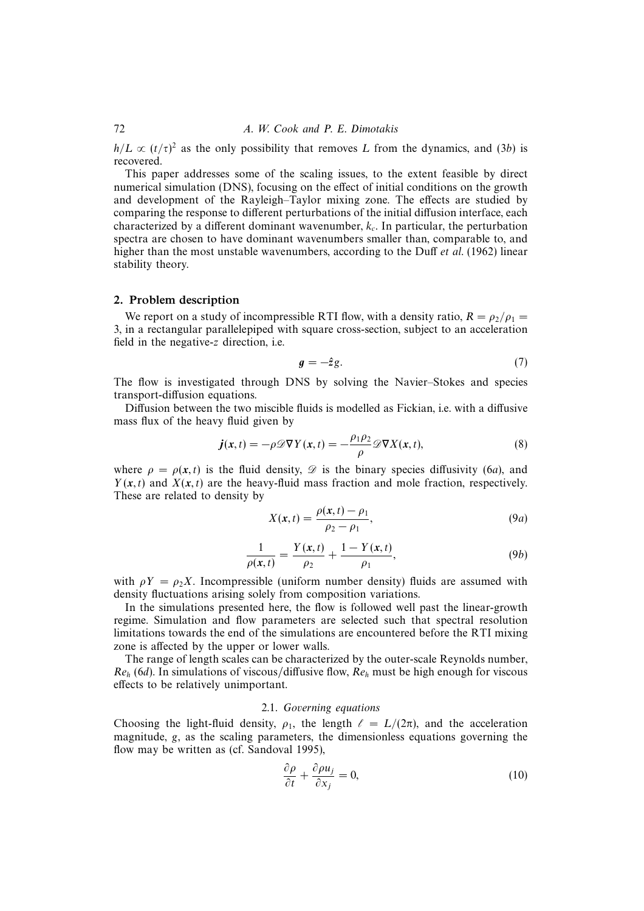$h/L \propto (t/\tau)^2$  as the only possibility that removes L from the dynamics, and (3b) is recovered.

This paper addresses some of the scaling issues, to the extent feasible by direct numerical simulation (DNS), focusing on the effect of initial conditions on the growth and development of the Rayleigh–Taylor mixing zone. The effects are studied by comparing the response to different perturbations of the initial diffusion interface, each characterized by a different dominant wavenumber,  $k_c$ . In particular, the perturbation spectra are chosen to have dominant wavenumbers smaller than, comparable to, and higher than the most unstable wavenumbers, according to the Duff et al. (1962) linear stability theory.

## 2. Problem description

We report on a study of incompressible RTI flow, with a density ratio,  $R = \rho_2/\rho_1 =$ 3, in a rectangular parallelepiped with square cross-section, subject to an acceleration field in the negative-z direction, i.e.

$$
g = -\hat{z}g. \tag{7}
$$

The flow is investigated through DNS by solving the Navier–Stokes and species transport-diffusion equations.

Diffusion between the two miscible fluids is modelled as Fickian, i.e. with a diffusive mass flux of the heavy fluid given by

$$
\dot{\mathbf{j}}(\mathbf{x},t) = -\rho \mathscr{D}\nabla Y(\mathbf{x},t) = -\frac{\rho_1 \rho_2}{\rho} \mathscr{D}\nabla X(\mathbf{x},t),\tag{8}
$$

where  $\rho = \rho(x, t)$  is the fluid density,  $\mathcal{D}$  is the binary species diffusivity (6*a*), and  $Y(x, t)$  and  $X(x, t)$  are the heavy-fluid mass fraction and mole fraction, respectively. These are related to density by

$$
X(\mathbf{x},t) = \frac{\rho(\mathbf{x},t) - \rho_1}{\rho_2 - \rho_1},\tag{9a}
$$

$$
\frac{1}{\rho(\mathbf{x},t)} = \frac{Y(\mathbf{x},t)}{\rho_2} + \frac{1 - Y(\mathbf{x},t)}{\rho_1},\tag{9b}
$$

with  $\rho Y = \rho_2 X$ . Incompressible (uniform number density) fluids are assumed with density fluctuations arising solely from composition variations.

In the simulations presented here, the flow is followed well past the linear-growth regime. Simulation and flow parameters are selected such that spectral resolution limitations towards the end of the simulations are encountered before the RTI mixing zone is affected by the upper or lower walls.

The range of length scales can be characterized by the outer-scale Reynolds number,  $Re_h$  (6d). In simulations of viscous/diffusive flow,  $Re_h$  must be high enough for viscous effects to be relatively unimportant.

## 2.1. Governing equations

Choosing the light-fluid density,  $\rho_1$ , the length  $\ell = L/(2\pi)$ , and the acceleration magnitude, g, as the scaling parameters, the dimensionless equations governing the flow may be written as (cf. Sandoval 1995),

$$
\frac{\partial \rho}{\partial t} + \frac{\partial \rho u_j}{\partial x_j} = 0, \tag{10}
$$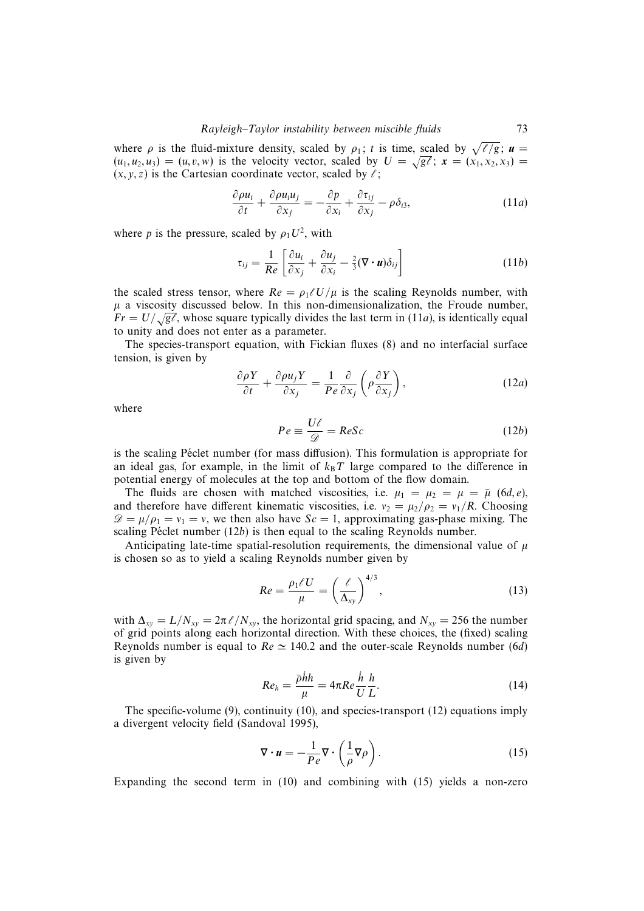where  $\rho$  is the fluid-mixture density, scaled by  $\rho_1$ ; *t* is time, scaled by  $\sqrt{\ell/g}$ ; *u* =  $(u_1, u_2, u_3)=(u, v, w)$  is the velocity vector, scaled by  $U = \sqrt{g\ell}$ ;  $x = (x_1, x_2, x_3)$  $(x, y, z)$  is the Cartesian coordinate vector, scaled by  $\ell$ ;

$$
\frac{\partial \rho u_i}{\partial t} + \frac{\partial \rho u_i u_j}{\partial x_j} = -\frac{\partial p}{\partial x_i} + \frac{\partial \tau_{ij}}{\partial x_j} - \rho \delta_{i3},\tag{11a}
$$

where p is the pressure, scaled by  $\rho_1 U^2$ , with

$$
\tau_{ij} = \frac{1}{Re} \left[ \frac{\partial u_i}{\partial x_j} + \frac{\partial u_j}{\partial x_i} - \frac{2}{3} (\nabla \cdot \mathbf{u}) \delta_{ij} \right]
$$
(11*b*)

the scaled stress tensor, where  $Re = \rho_1 / U / \mu$  is the scaling Reynolds number, with  $\mu$  a viscosity discussed below. In this non-dimensionalization, the Froude number,  $Fr = U/\sqrt{g\ell}$ , whose square typically divides the last term in (11*a*), is identically equal to unity and does not enter as a parameter.

The species-transport equation, with Fickian fluxes (8) and no interfacial surface tension, is given by

$$
\frac{\partial \rho Y}{\partial t} + \frac{\partial \rho u_j Y}{\partial x_j} = \frac{1}{Pe} \frac{\partial}{\partial x_j} \left( \rho \frac{\partial Y}{\partial x_j} \right),\tag{12a}
$$

where

$$
Pe \equiv \frac{U\ell}{\mathcal{D}} = ReSc \tag{12b}
$$

is the scaling Péclet number (for mass diffusion). This formulation is appropriate for an ideal gas, for example, in the limit of  $k_BT$  large compared to the difference in potential energy of molecules at the top and bottom of the flow domain.

The fluids are chosen with matched viscosities, i.e.  $\mu_1 = \mu_2 = \mu = \bar{\mu}$  (6d, e), and therefore have different kinematic viscosities, i.e.  $v_2 = \mu_2/\rho_2 = v_1/R$ . Choosing  $\mathcal{D} = \mu/\rho_1 = v_1 = v$ , we then also have  $Sc = 1$ , approximating gas-phase mixing. The scaling Péclet number  $(12b)$  is then equal to the scaling Reynolds number.

Anticipating late-time spatial-resolution requirements, the dimensional value of  $\mu$ is chosen so as to yield a scaling Reynolds number given by

$$
Re = \frac{\rho_1 \ell U}{\mu} = \left(\frac{\ell}{\Delta_{xy}}\right)^{4/3},\tag{13}
$$

with  $\Delta_{xy} = L/N_{xy} = 2\pi \ell/N_{xy}$ , the horizontal grid spacing, and  $N_{xy} = 256$  the number of grid points along each horizontal direction. With these choices, the (fixed) scaling Reynolds number is equal to  $Re \simeq 140.2$  and the outer-scale Reynolds number (6d) is given by

$$
Re_h = \frac{\bar{\rho}hh}{\mu} = 4\pi Re \frac{h}{U} \frac{h}{L}.
$$
\n(14)

The specific-volume (9), continuity (10), and species-transport (12) equations imply a divergent velocity field (Sandoval 1995),

$$
\nabla \cdot \mathbf{u} = -\frac{1}{Pe} \nabla \cdot \left(\frac{1}{\rho} \nabla \rho\right). \tag{15}
$$

Expanding the second term in (10) and combining with (15) yields a non-zero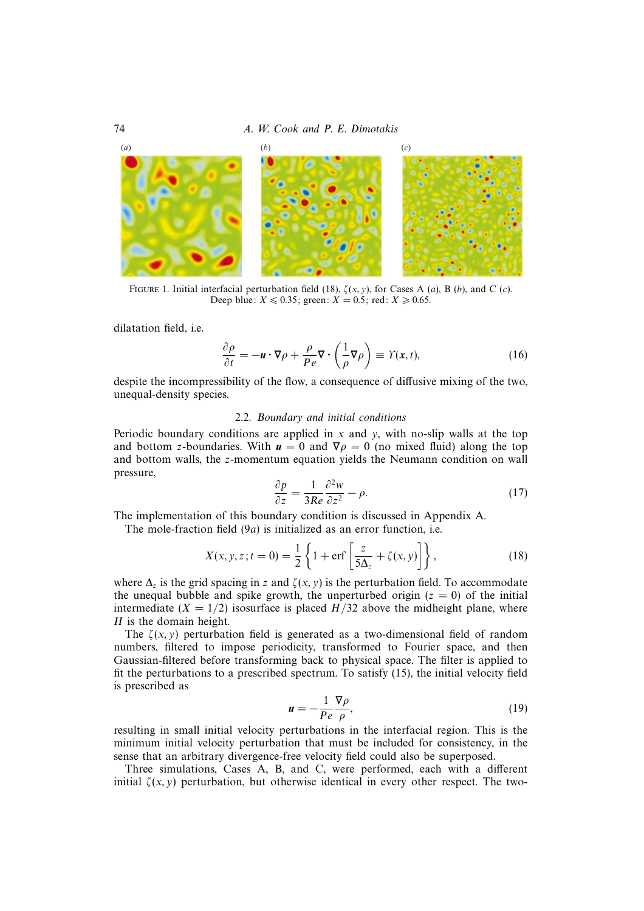

FIGURE 1. Initial interfacial perturbation field (18),  $\zeta(x, y)$ , for Cases A (a), B (b), and C (c). Deep blue:  $X \le 0.35$ ; green:  $X = 0.5$ ; red:  $X \ge 0.65$ .

dilatation field, i.e.

$$
\frac{\partial \rho}{\partial t} = -\boldsymbol{u} \cdot \nabla \rho + \frac{\rho}{P e} \nabla \cdot \left(\frac{1}{\rho} \nabla \rho\right) \equiv \Upsilon(\boldsymbol{x}, t),\tag{16}
$$

despite the incompressibility of the flow, a consequence of diffusive mixing of the two, unequal-density species.

# 2.2. Boundary and initial conditions

Periodic boundary conditions are applied in  $x$  and  $y$ , with no-slip walls at the top and bottom z-boundaries. With  $u = 0$  and  $\nabla \rho = 0$  (no mixed fluid) along the top and bottom walls, the z-momentum equation yields the Neumann condition on wall pressure,

$$
\frac{\partial p}{\partial z} = \frac{1}{3Re} \frac{\partial^2 w}{\partial z^2} - \rho.
$$
 (17)

The implementation of this boundary condition is discussed in Appendix A.

The mole-fraction field (9a) is initialized as an error function, i.e.

$$
X(x, y, z; t = 0) = \frac{1}{2} \left\{ 1 + \text{erf}\left[\frac{z}{5\Delta_z} + \zeta(x, y)\right] \right\},\tag{18}
$$

where  $\Delta_z$  is the grid spacing in z and  $\zeta(x, y)$  is the perturbation field. To accommodate the unequal bubble and spike growth, the unperturbed origin ( $z = 0$ ) of the initial intermediate  $(X = 1/2)$  isosurface is placed  $H/32$  above the midheight plane, where  $H$  is the domain height.

The  $\zeta(x, y)$  perturbation field is generated as a two-dimensional field of random numbers, filtered to impose periodicity, transformed to Fourier space, and then Gaussian-filtered before transforming back to physical space. The filter is applied to fit the perturbations to a prescribed spectrum. To satisfy (15), the initial velocity field is prescribed as

$$
\mathbf{u} = -\frac{1}{Pe} \frac{\nabla \rho}{\rho},\tag{19}
$$

resulting in small initial velocity perturbations in the interfacial region. This is the minimum initial velocity perturbation that must be included for consistency, in the sense that an arbitrary divergence-free velocity field could also be superposed.

Three simulations, Cases A, B, and C, were performed, each with a different initial  $\zeta(x, y)$  perturbation, but otherwise identical in every other respect. The two-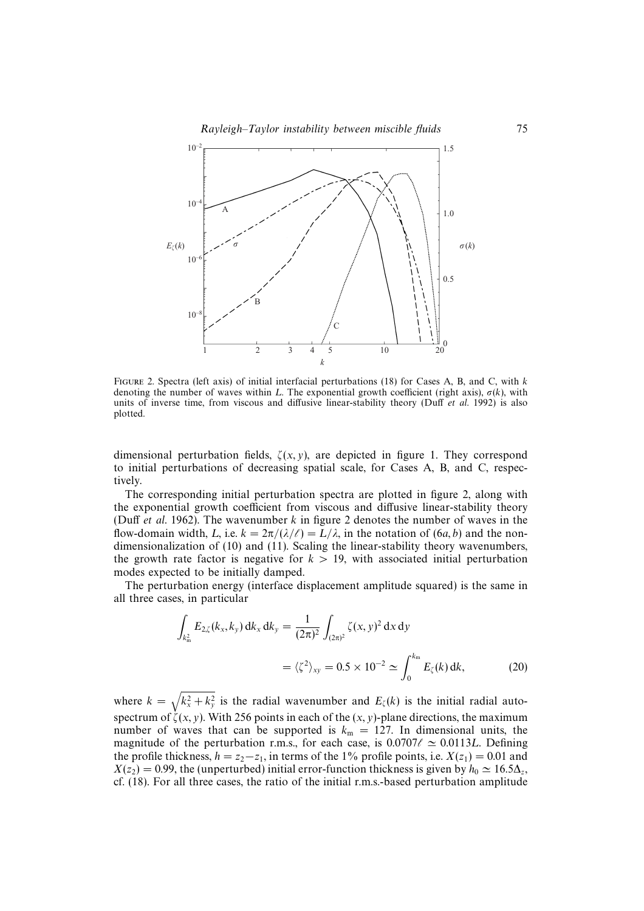# Rayleigh–Taylor instability between miscible fluids 75



FIGURE 2. Spectra (left axis) of initial interfacial perturbations (18) for Cases A, B, and C, with k denoting the number of waves within L. The exponential growth coefficient (right axis),  $\sigma(k)$ , with units of inverse time, from viscous and diffusive linear-stability theory (Duff et al. 1992) is also plotted.

dimensional perturbation fields,  $\zeta(x, y)$ , are depicted in figure 1. They correspond to initial perturbations of decreasing spatial scale, for Cases A, B, and C, respectively.

The corresponding initial perturbation spectra are plotted in figure 2, along with the exponential growth coefficient from viscous and diffusive linear-stability theory (Duff *et al.* 1962). The wavenumber k in figure 2 denotes the number of waves in the flow-domain width, L, i.e.  $k = 2\pi/(\lambda/\ell) = L/\lambda$ , in the notation of (6a, b) and the nondimensionalization of (10) and (11). Scaling the linear-stability theory wavenumbers, the growth rate factor is negative for  $k > 19$ , with associated initial perturbation modes expected to be initially damped.

The perturbation energy (interface displacement amplitude squared) is the same in all three cases, in particular

$$
\int_{k_m^2} E_{2,\zeta}(k_x, k_y) \, \mathrm{d}k_x \, \mathrm{d}k_y = \frac{1}{(2\pi)^2} \int_{(2\pi)^2} \zeta(x, y)^2 \, \mathrm{d}x \, \mathrm{d}y
$$
\n
$$
= \langle \zeta^2 \rangle_{xy} = 0.5 \times 10^{-2} \simeq \int_0^{k_m} E_{\zeta}(k) \, \mathrm{d}k,\tag{20}
$$

where  $k = \sqrt{k_x^2 + k_y^2}$  is the radial wavenumber and  $E_\zeta(k)$  is the initial radial autospectrum of  $\zeta(x, y)$ . With 256 points in each of the  $(x, y)$ -plane directions, the maximum number of waves that can be supported is  $k_m = 127$ . In dimensional units, the magnitude of the perturbation r.m.s., for each case, is  $0.0707\ell \approx 0.0113L$ . Defining the profile thickness,  $h = z_2 - z_1$ , in terms of the 1% profile points, i.e.  $X(z_1) = 0.01$  and  $X(z_2)=0.99$ , the (unperturbed) initial error-function thickness is given by  $h_0 \simeq 16.5\Delta_z$ , cf. (18). For all three cases, the ratio of the initial r.m.s.-based perturbation amplitude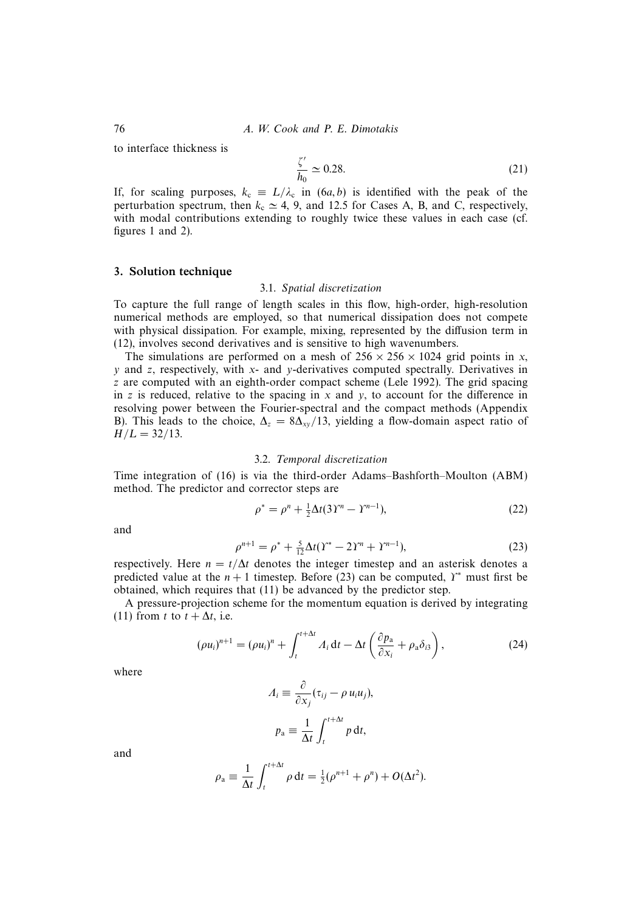to interface thickness is

$$
\frac{\zeta'}{h_0} \simeq 0.28. \tag{21}
$$

If, for scaling purposes,  $k_c = L/\lambda_c$  in  $(6a, b)$  is identified with the peak of the perturbation spectrum, then  $k_c \approx 4$ , 9, and 12.5 for Cases A, B, and C, respectively, with modal contributions extending to roughly twice these values in each case (cf. figures 1 and 2).

# 3. Solution technique

#### 3.1. Spatial discretization

To capture the full range of length scales in this flow, high-order, high-resolution numerical methods are employed, so that numerical dissipation does not compete with physical dissipation. For example, mixing, represented by the diffusion term in (12), involves second derivatives and is sensitive to high wavenumbers.

The simulations are performed on a mesh of  $256 \times 256 \times 1024$  grid points in x, y and z, respectively, with x- and y-derivatives computed spectrally. Derivatives in z are computed with an eighth-order compact scheme (Lele 1992). The grid spacing in z is reduced, relative to the spacing in x and y, to account for the difference in resolving power between the Fourier-spectral and the compact methods (Appendix B). This leads to the choice,  $\Delta_z = 8\Delta_{xy}/13$ , yielding a flow-domain aspect ratio of  $H/L = 32/13$ .

#### 3.2. Temporal discretization

Time integration of (16) is via the third-order Adams–Bashforth–Moulton (ABM) method. The predictor and corrector steps are

$$
\rho^* = \rho^n + \frac{1}{2}\Delta t (3Y^n - Y^{n-1}),\tag{22}
$$

and

$$
\rho^{n+1} = \rho^* + \frac{5}{12} \Delta t (Y^* - 2Y^n + Y^{n-1}),\tag{23}
$$

respectively. Here  $n = t/\Delta t$  denotes the integer timestep and an asterisk denotes a predicted value at the  $n + 1$  timestep. Before (23) can be computed,  $Y^*$  must first be obtained, which requires that (11) be advanced by the predictor step.

A pressure-projection scheme for the momentum equation is derived by integrating (11) from t to  $t + \Delta t$ , i.e.

$$
(\rho u_i)^{n+1} = (\rho u_i)^n + \int_t^{t+\Delta t} A_i dt - \Delta t \left( \frac{\partial p_a}{\partial x_i} + \rho_a \delta_{i3} \right), \qquad (24)
$$

where

$$
A_i \equiv \frac{\partial}{\partial x_j} (\tau_{ij} - \rho u_i u_j),
$$
  

$$
p_a \equiv \frac{1}{\Delta t} \int_t^{t + \Delta t} p dt,
$$

and

$$
\rho_{a} \equiv \frac{1}{\Delta t} \int_{t}^{t + \Delta t} \rho \, dt = \frac{1}{2} (\rho^{n+1} + \rho^{n}) + O(\Delta t^{2}).
$$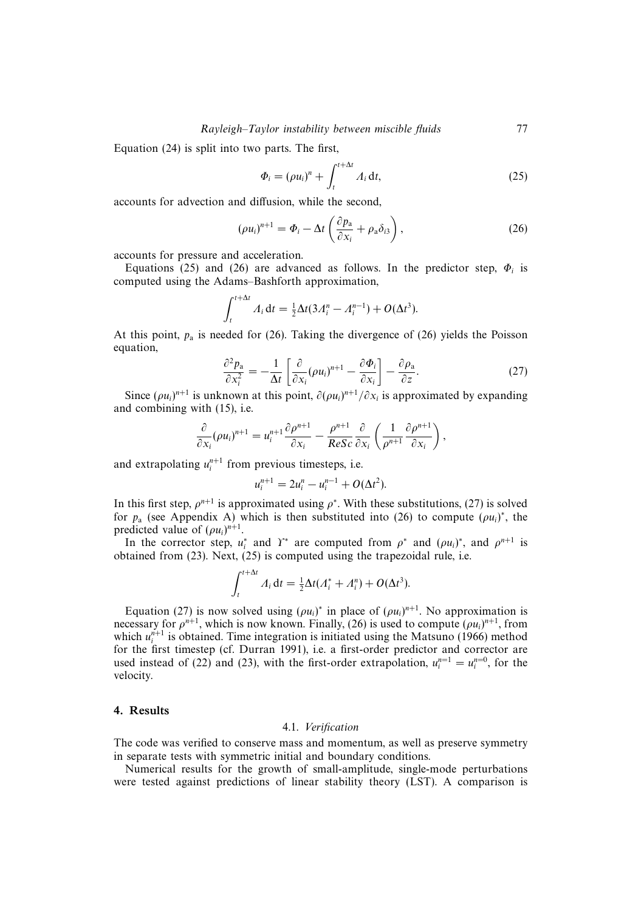Equation (24) is split into two parts. The first,

$$
\Phi_i = (\rho u_i)^n + \int_t^{t + \Delta t} A_i dt,
$$
\n(25)

accounts for advection and diffusion, while the second,

$$
(\rho u_i)^{n+1} = \Phi_i - \Delta t \left( \frac{\partial p_a}{\partial x_i} + \rho_a \delta_{i3} \right), \qquad (26)
$$

accounts for pressure and acceleration.

Equations (25) and (26) are advanced as follows. In the predictor step,  $\Phi_i$  is computed using the Adams–Bashforth approximation,

$$
\int_{t}^{t+\Delta t} A_i dt = \frac{1}{2} \Delta t (3A_i^n - A_i^{n-1}) + O(\Delta t^3).
$$

At this point,  $p_a$  is needed for (26). Taking the divergence of (26) yields the Poisson equation,

$$
\frac{\partial^2 p_a}{\partial x_i^2} = -\frac{1}{\Delta t} \left[ \frac{\partial}{\partial x_i} (\rho u_i)^{n+1} - \frac{\partial \Phi_i}{\partial x_i} \right] - \frac{\partial \rho_a}{\partial z}.
$$
 (27)

Since  $(\rho u_i)^{n+1}$  is unknown at this point,  $\partial (\rho u_i)^{n+1}/\partial x_i$  is approximated by expanding and combining with (15), i.e.

$$
\frac{\partial}{\partial x_i}(\rho u_i)^{n+1} = u_i^{n+1} \frac{\partial \rho^{n+1}}{\partial x_i} - \frac{\rho^{n+1}}{ReSc} \frac{\partial}{\partial x_i} \left( \frac{1}{\rho^{n+1}} \frac{\partial \rho^{n+1}}{\partial x_i} \right),
$$

and extrapolating  $u_i^{n+1}$  from previous timesteps, i.e.

$$
u_i^{n+1} = 2u_i^n - u_i^{n-1} + O(\Delta t^2).
$$

In this first step,  $\rho^{n+1}$  is approximated using  $\rho^*$ . With these substitutions, (27) is solved for  $p_a$  (see Appendix A) which is then substituted into (26) to compute  $(\rho u_i)^*$ , the predicted value of  $(\rho u_i)^{n+1}$ .

In the corrector step,  $u_i^*$  and  $Y^*$  are computed from  $\rho^*$  and  $(\rho u_i)^*$ , and  $\rho^{n+1}$  is obtained from (23). Next, (25) is computed using the trapezoidal rule, i.e.

$$
\int_t^{t+\Delta t} A_i dt = \frac{1}{2}\Delta t (A_i^* + A_i^n) + O(\Delta t^3).
$$

Equation (27) is now solved using  $(\rho u_i)^*$  in place of  $(\rho u_i)^{n+1}$ . No approximation is necessary for  $\rho^{n+1}$ , which is now known. Finally, (26) is used to compute  $(\rho u_i)^{n+1}$ , from which  $u_i^{n+1}$  is obtained. Time integration is initiated using the Matsuno (1966) method for the first timestep (cf. Durran 1991), i.e. a first-order predictor and corrector are used instead of (22) and (23), with the first-order extrapolation,  $u_i^{n=1} = u_i^{n=0}$ , for the velocity.

## 4. Results

# 4.1. Verification

The code was verified to conserve mass and momentum, as well as preserve symmetry in separate tests with symmetric initial and boundary conditions.

Numerical results for the growth of small-amplitude, single-mode perturbations were tested against predictions of linear stability theory (LST). A comparison is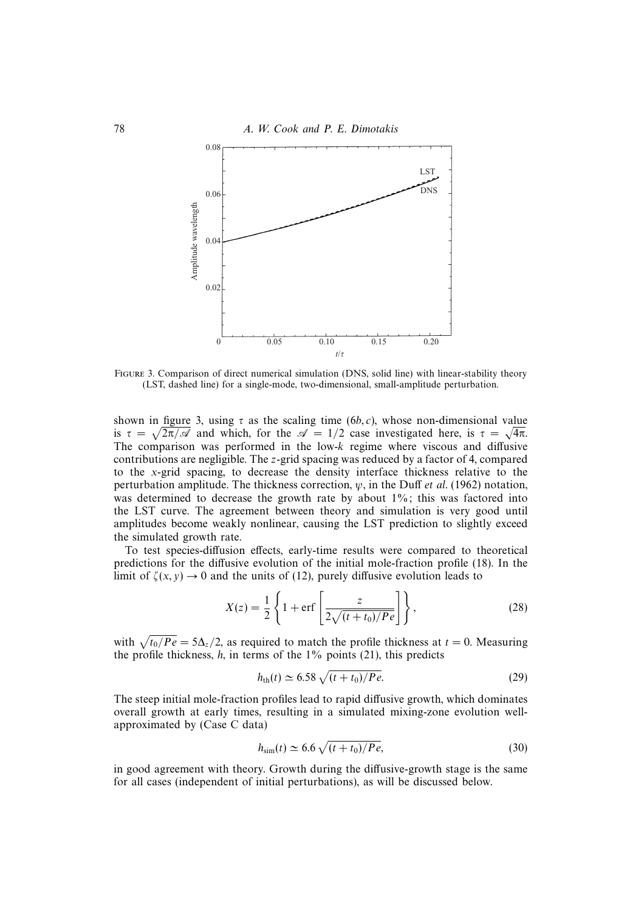

Figure 3. Comparison of direct numerical simulation (DNS, solid line) with linear-stability theory (LST, dashed line) for a single-mode, two-dimensional, small-amplitude perturbation.

shown in figure 3, using  $\tau$  as the scaling time (6b, c), whose non-dimensional value is  $\tau = \sqrt{2\pi/\mathcal{A}}$  and which, for the  $\mathcal{A} = 1/2$  case investigated here, is  $\tau = \sqrt{4\pi}$ . The comparison was performed in the low- $k$  regime where viscous and diffusive contributions are negligible. The z-grid spacing was reduced by a factor of 4, compared to the x-grid spacing, to decrease the density interface thickness relative to the perturbation amplitude. The thickness correction,  $\psi$ , in the Duff et al. (1962) notation, was determined to decrease the growth rate by about 1%; this was factored into the LST curve. The agreement between theory and simulation is very good until amplitudes become weakly nonlinear, causing the LST prediction to slightly exceed the simulated growth rate.

To test species-diffusion effects, early-time results were compared to theoretical predictions for the diffusive evolution of the initial mole-fraction profile (18). In the limit of  $\zeta(x, y) \to 0$  and the units of (12), purely diffusive evolution leads to

$$
X(z) = \frac{1}{2} \left\{ 1 + \text{erf}\left[\frac{z}{2\sqrt{(t+t_0)/Pe}}\right] \right\},\tag{28}
$$

with  $\sqrt{t_0/P e} = 5\Delta_z/2$ , as required to match the profile thickness at  $t = 0$ . Measuring the profile thickness,  $h$ , in terms of the  $1\%$  points (21), this predicts

$$
h_{\rm th}(t) \simeq 6.58 \sqrt{(t+t_0)/Pe}.
$$
 (29)

The steep initial mole-fraction profiles lead to rapid diffusive growth, which dominates overall growth at early times, resulting in a simulated mixing-zone evolution wellapproximated by (Case C data)

$$
h_{\text{sim}}(t) \simeq 6.6 \sqrt{(t+t_0)/Pe},\tag{30}
$$

in good agreement with theory. Growth during the diffusive-growth stage is the same for all cases (independent of initial perturbations), as will be discussed below.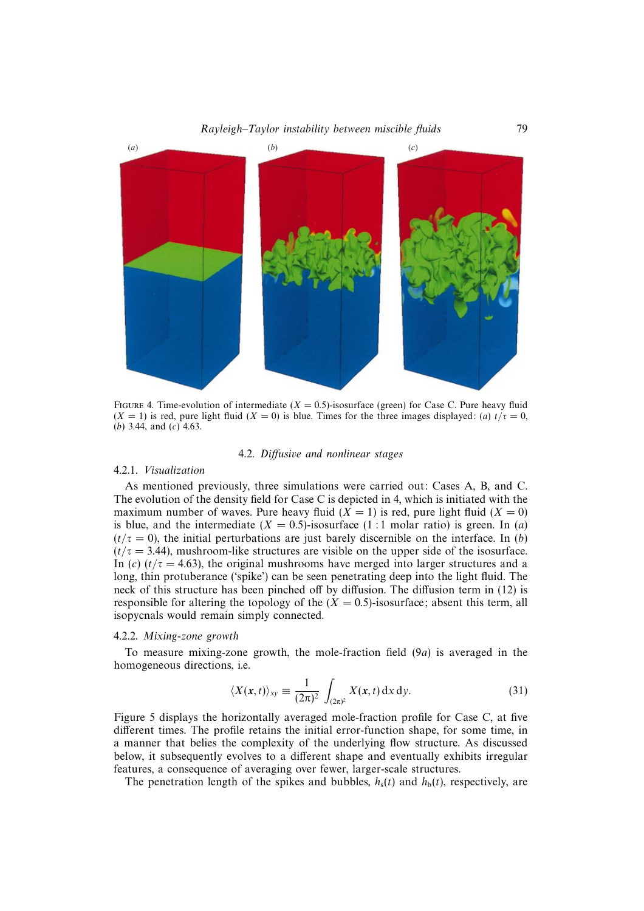



FIGURE 4. Time-evolution of intermediate  $(X = 0.5)$ -isosurface (green) for Case C. Pure heavy fluid  $(X = 1)$  is red, pure light fluid  $(X = 0)$  is blue. Times for the three images displayed: (a)  $t/\tau = 0$ , (*b*) 3.44, and (*c*) 4.63.

#### 4.2. Diffusive and nonlinear stages

#### 4.2.1. Visualization

As mentioned previously, three simulations were carried out: Cases A, B, and C. The evolution of the density field for Case C is depicted in 4, which is initiated with the maximum number of waves. Pure heavy fluid  $(X = 1)$  is red, pure light fluid  $(X = 0)$ is blue, and the intermediate  $(X = 0.5)$ -isosurface  $(1:1 \text{ molar ratio})$  is green. In  $(a)$  $(t/\tau = 0)$ , the initial perturbations are just barely discernible on the interface. In (b)  $(t/\tau = 3.44)$ , mushroom-like structures are visible on the upper side of the isosurface. In (c) ( $t/\tau$  = 4.63), the original mushrooms have merged into larger structures and a long, thin protuberance ('spike') can be seen penetrating deep into the light fluid. The neck of this structure has been pinched off by diffusion. The diffusion term in (12) is responsible for altering the topology of the  $(X = 0.5)$ -isosurface; absent this term, all isopycnals would remain simply connected.

#### 4.2.2. Mixing-zone growth

To measure mixing-zone growth, the mole-fraction field  $(9a)$  is averaged in the homogeneous directions, i.e.

$$
\langle X(\mathbf{x},t)\rangle_{xy} \equiv \frac{1}{(2\pi)^2} \int_{(2\pi)^2} X(\mathbf{x},t) \, \mathrm{d}x \, \mathrm{d}y. \tag{31}
$$

Figure 5 displays the horizontally averaged mole-fraction profile for Case C, at five different times. The profile retains the initial error-function shape, for some time, in a manner that belies the complexity of the underlying flow structure. As discussed below, it subsequently evolves to a different shape and eventually exhibits irregular features, a consequence of averaging over fewer, larger-scale structures.

The penetration length of the spikes and bubbles,  $h_s(t)$  and  $h_b(t)$ , respectively, are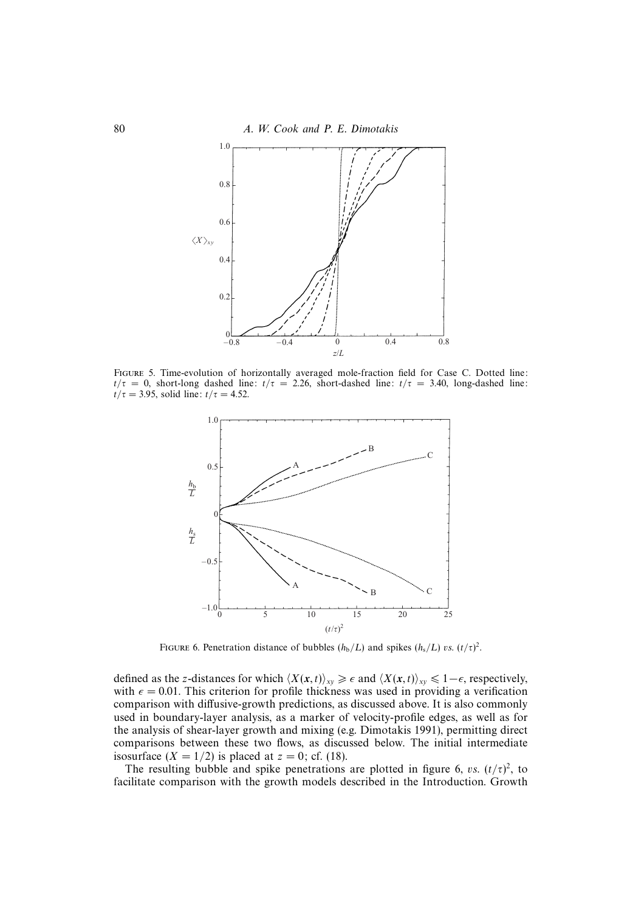

Figure 5. Time-evolution of horizontally averaged mole-fraction field for Case C. Dotted line:  $t/\tau = 0$ , short-long dashed line:  $t/\tau = 2.26$ , short-dashed line:  $t/\tau = 3.40$ , long-dashed line:  $t/\tau = 3.95$ , solid line:  $t/\tau = 4.52$ .



FIGURE 6. Penetration distance of bubbles  $(h_b/L)$  and spikes  $(h_s/L)$  vs.  $(t/\tau)^2$ .

defined as the z-distances for which  $\langle X(\mathbf{x}, t) \rangle_{xy} \geq \epsilon$  and  $\langle X(\mathbf{x}, t) \rangle_{xy} \leq 1 - \epsilon$ , respectively, with  $\epsilon = 0.01$ . This criterion for profile thickness was used in providing a verification comparison with diffusive-growth predictions, as discussed above. It is also commonly used in boundary-layer analysis, as a marker of velocity-profile edges, as well as for the analysis of shear-layer growth and mixing (e.g. Dimotakis 1991), permitting direct comparisons between these two flows, as discussed below. The initial intermediate isosurface  $(X = 1/2)$  is placed at  $z = 0$ ; cf. (18).

The resulting bubble and spike penetrations are plotted in figure 6, vs.  $(t/\tau)^2$ , to facilitate comparison with the growth models described in the Introduction. Growth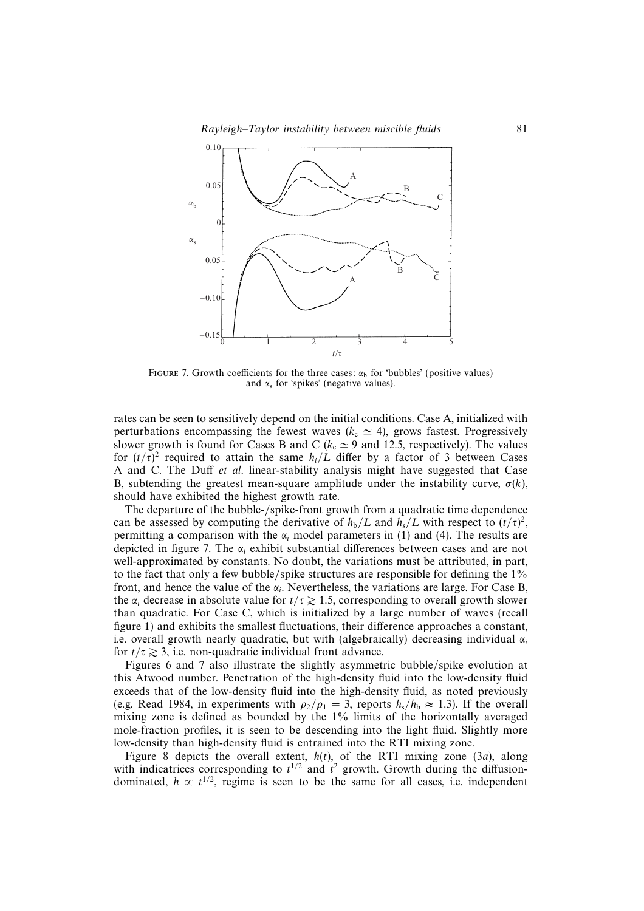# Rayleigh–Taylor instability between miscible fluids 81



FIGURE 7. Growth coefficients for the three cases:  $\alpha_b$  for 'bubbles' (positive values) and  $\alpha_s$  for 'spikes' (negative values).

rates can be seen to sensitively depend on the initial conditions. Case A, initialized with perturbations encompassing the fewest waves ( $k_c \simeq 4$ ), grows fastest. Progressively slower growth is found for Cases B and C ( $k_c \approx 9$  and 12.5, respectively). The values for  $(t/\tau)^2$  required to attain the same  $h_i/L$  differ by a factor of 3 between Cases A and C. The Duff et al. linear-stability analysis might have suggested that Case B, subtending the greatest mean-square amplitude under the instability curve,  $\sigma(k)$ , should have exhibited the highest growth rate.

The departure of the bubble-/spike-front growth from a quadratic time dependence can be assessed by computing the derivative of  $h_b/L$  and  $h_s/L$  with respect to  $(t/\tau)^2$ , permitting a comparison with the  $\alpha_i$  model parameters in (1) and (4). The results are depicted in figure 7. The  $\alpha_i$  exhibit substantial differences between cases and are not well-approximated by constants. No doubt, the variations must be attributed, in part, to the fact that only a few bubble/spike structures are responsible for defining the 1% front, and hence the value of the  $\alpha_i$ . Nevertheless, the variations are large. For Case B, the  $\alpha_i$  decrease in absolute value for  $t/\tau \gtrsim 1.5$ , corresponding to overall growth slower than quadratic. For Case C, which is initialized by a large number of waves (recall figure 1) and exhibits the smallest fluctuations, their difference approaches a constant, i.e. overall growth nearly quadratic, but with (algebraically) decreasing individual  $\alpha_i$ for  $t/\tau \geq 3$ , i.e. non-quadratic individual front advance.

Figures 6 and 7 also illustrate the slightly asymmetric bubble/spike evolution at this Atwood number. Penetration of the high-density fluid into the low-density fluid exceeds that of the low-density fluid into the high-density fluid, as noted previously (e.g. Read 1984, in experiments with  $\rho_2/\rho_1 = 3$ , reports  $h_s/h_b \approx 1.3$ ). If the overall mixing zone is defined as bounded by the 1% limits of the horizontally averaged mole-fraction profiles, it is seen to be descending into the light fluid. Slightly more low-density than high-density fluid is entrained into the RTI mixing zone.

Figure 8 depicts the overall extent,  $h(t)$ , of the RTI mixing zone (3a), along with indicatrices corresponding to  $t^{1/2}$  and  $t^2$  growth. Growth during the diffusiondominated,  $h \propto t^{1/2}$ , regime is seen to be the same for all cases, i.e. independent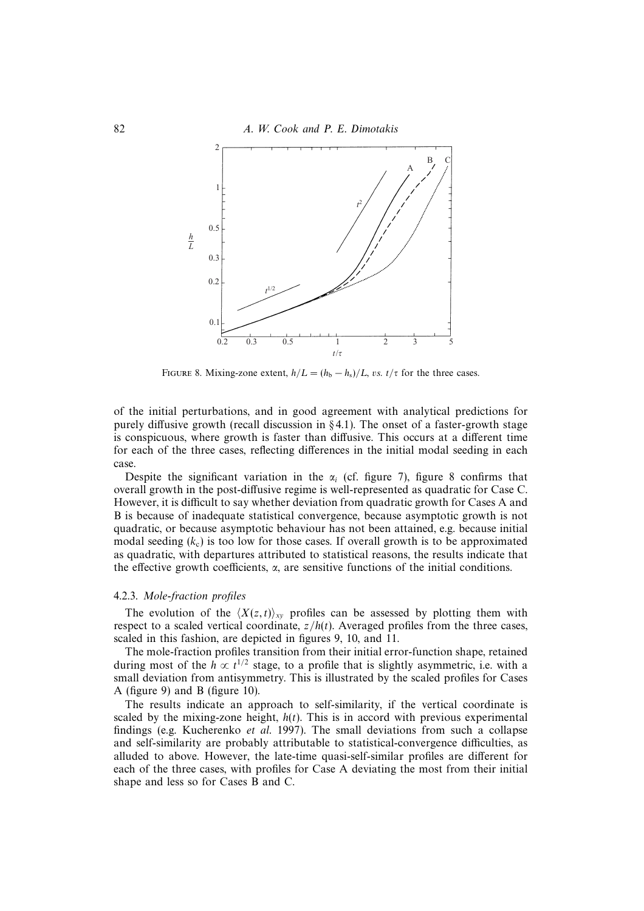

FIGURE 8. Mixing-zone extent,  $h/L = (h_b - h_s)/L$ , vs.  $t/\tau$  for the three cases.

of the initial perturbations, and in good agreement with analytical predictions for purely diffusive growth (recall discussion in  $\S 4.1$ ). The onset of a faster-growth stage is conspicuous, where growth is faster than diffusive. This occurs at a different time for each of the three cases, reflecting differences in the initial modal seeding in each case.

Despite the significant variation in the  $\alpha_i$  (cf. figure 7), figure 8 confirms that overall growth in the post-diffusive regime is well-represented as quadratic for Case C. However, it is difficult to say whether deviation from quadratic growth for Cases A and B is because of inadequate statistical convergence, because asymptotic growth is not quadratic, or because asymptotic behaviour has not been attained, e.g. because initial modal seeding  $(k_c)$  is too low for those cases. If overall growth is to be approximated as quadratic, with departures attributed to statistical reasons, the results indicate that the effective growth coefficients,  $\alpha$ , are sensitive functions of the initial conditions.

## 4.2.3. Mole-fraction profiles

The evolution of the  $\langle X(z, t) \rangle_{xy}$  profiles can be assessed by plotting them with respect to a scaled vertical coordinate,  $z/h(t)$ . Averaged profiles from the three cases, scaled in this fashion, are depicted in figures 9, 10, and 11.

The mole-fraction profiles transition from their initial error-function shape, retained during most of the  $h \propto t^{1/2}$  stage, to a profile that is slightly asymmetric, i.e. with a small deviation from antisymmetry. This is illustrated by the scaled profiles for Cases A (figure 9) and B (figure 10).

The results indicate an approach to self-similarity, if the vertical coordinate is scaled by the mixing-zone height,  $h(t)$ . This is in accord with previous experimental findings (e.g. Kucherenko et al. 1997). The small deviations from such a collapse and self-similarity are probably attributable to statistical-convergence difficulties, as alluded to above. However, the late-time quasi-self-similar profiles are different for each of the three cases, with profiles for Case A deviating the most from their initial shape and less so for Cases B and C.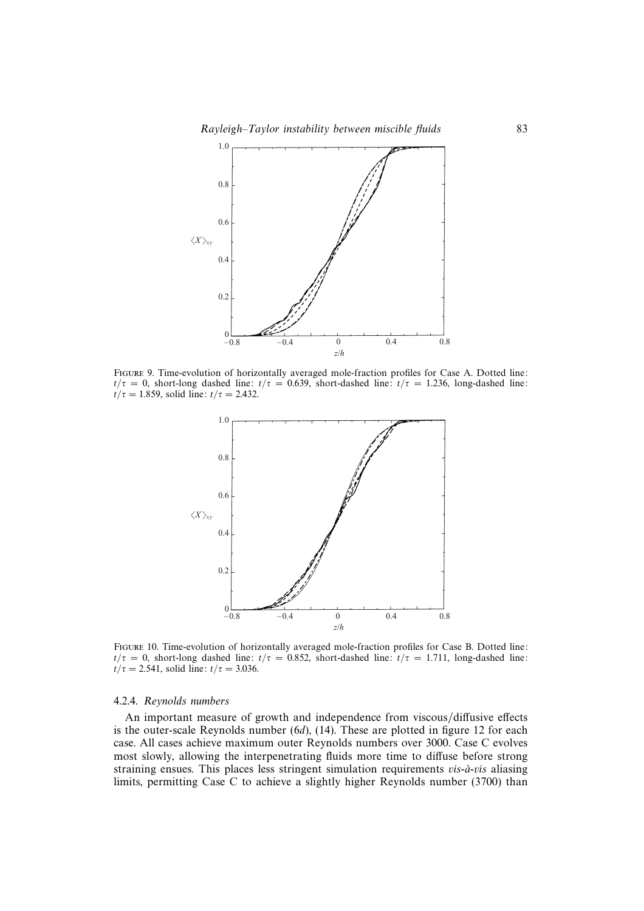

Figure 9. Time-evolution of horizontally averaged mole-fraction profiles for Case A. Dotted line:  $t/\tau = 0$ , short-long dashed line:  $t/\tau = 0.639$ , short-dashed line:  $t/\tau = 1.236$ , long-dashed line:  $t/\tau = 1.859$ , solid line:  $t/\tau = 2.432$ .



Figure 10. Time-evolution of horizontally averaged mole-fraction profiles for Case B. Dotted line:  $t/\tau = 0$ , short-long dashed line:  $t/\tau = 0.852$ , short-dashed line:  $t/\tau = 1.711$ , long-dashed line:  $t/\tau = 2.541$ , solid line:  $t/\tau = 3.036$ .

#### 4.2.4. Reynolds numbers

An important measure of growth and independence from viscous/diffusive effects is the outer-scale Reynolds number  $(6d)$ ,  $(14)$ . These are plotted in figure 12 for each case. All cases achieve maximum outer Reynolds numbers over 3000. Case C evolves most slowly, allowing the interpenetrating fluids more time to diffuse before strong straining ensues. This places less stringent simulation requirements vis-à-vis aliasing limits, permitting Case C to achieve a slightly higher Reynolds number (3700) than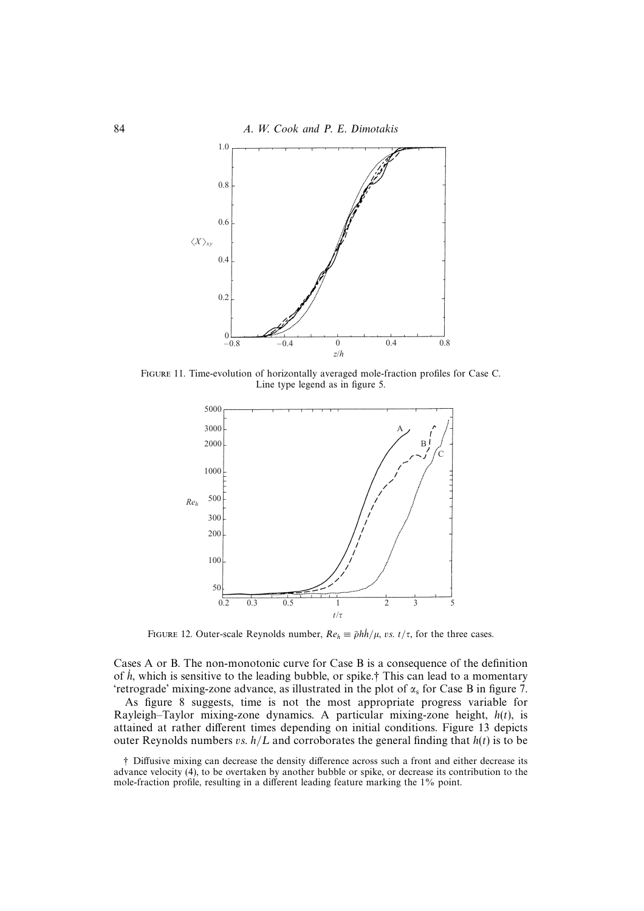



Figure 11. Time-evolution of horizontally averaged mole-fraction profiles for Case C. Line type legend as in figure 5.



FIGURE 12. Outer-scale Reynolds number,  $Re_h \equiv \bar{p}hh/\mu$ , vs.  $t/\tau$ , for the three cases.

Cases A or B. The non-monotonic curve for Case B is a consequence of the definition of  $\dot{h}$ , which is sensitive to the leading bubble, or spike.† This can lead to a momentary 'retrograde' mixing-zone advance, as illustrated in the plot of  $\alpha_s$  for Case B in figure 7.

As figure 8 suggests, time is not the most appropriate progress variable for Rayleigh–Taylor mixing-zone dynamics. A particular mixing-zone height,  $h(t)$ , is attained at rather different times depending on initial conditions. Figure 13 depicts outer Reynolds numbers vs.  $h/L$  and corroborates the general finding that  $h(t)$  is to be

<sup>†</sup> Diffusive mixing can decrease the density difference across such a front and either decrease its advance velocity (4), to be overtaken by another bubble or spike, or decrease its contribution to the mole-fraction profile, resulting in a different leading feature marking the 1% point.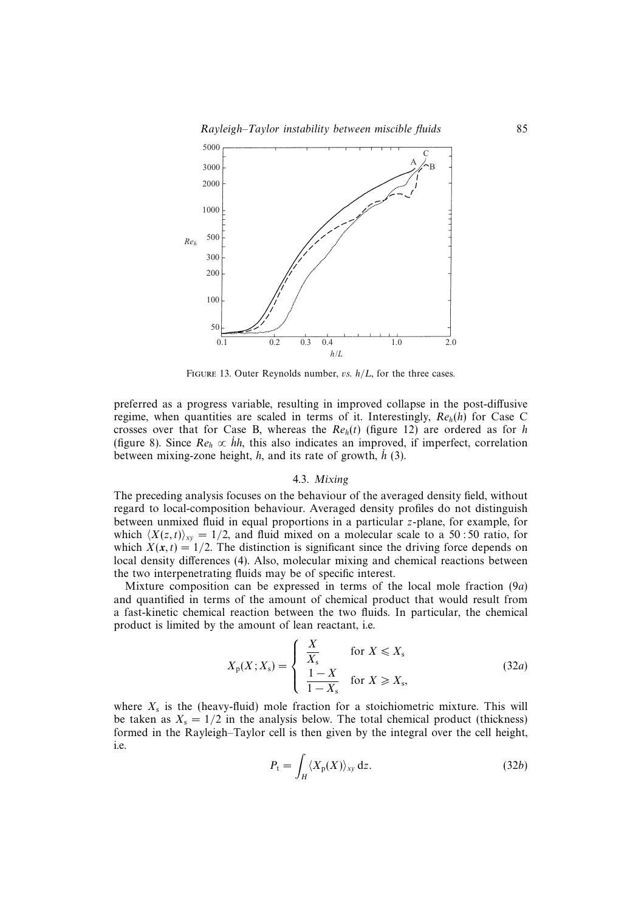

FIGURE 13. Outer Reynolds number, vs.  $h/L$ , for the three cases.

preferred as a progress variable, resulting in improved collapse in the post-diffusive regime, when quantities are scaled in terms of it. Interestingly,  $Re_h(h)$  for Case C crosses over that for Case B, whereas the  $Re<sub>h</sub>(t)$  (figure 12) are ordered as for h (figure 8). Since  $Re_h \propto hh$ , this also indicates an improved, if imperfect, correlation between mixing-zone height,  $h$ , and its rate of growth,  $\dot{h}$  (3).

#### 4.3. Mixing

The preceding analysis focuses on the behaviour of the averaged density field, without regard to local-composition behaviour. Averaged density profiles do not distinguish between unmixed fluid in equal proportions in a particular z-plane, for example, for which  $\langle X(z, t) \rangle_{xy} = 1/2$ , and fluid mixed on a molecular scale to a 50 : 50 ratio, for which  $X(x, t) = 1/2$ . The distinction is significant since the driving force depends on local density differences (4). Also, molecular mixing and chemical reactions between the two interpenetrating fluids may be of specific interest.

Mixture composition can be expressed in terms of the local mole fraction (9a) and quantified in terms of the amount of chemical product that would result from a fast-kinetic chemical reaction between the two fluids. In particular, the chemical product is limited by the amount of lean reactant, i.e.

$$
X_{\mathbf{p}}(X; X_{\mathbf{s}}) = \begin{cases} \frac{X}{X_{\mathbf{s}}} & \text{for } X \leq X_{\mathbf{s}}\\ \frac{1 - X}{1 - X_{\mathbf{s}}} & \text{for } X \geq X_{\mathbf{s}}, \end{cases} \tag{32a}
$$

where  $X_s$  is the (heavy-fluid) mole fraction for a stoichiometric mixture. This will be taken as  $X_s = 1/2$  in the analysis below. The total chemical product (thickness) formed in the Rayleigh–Taylor cell is then given by the integral over the cell height, i.e.

$$
P_{\rm t} = \int_H \langle X_{\rm p}(X) \rangle_{\rm xy} \, \mathrm{d}z. \tag{32b}
$$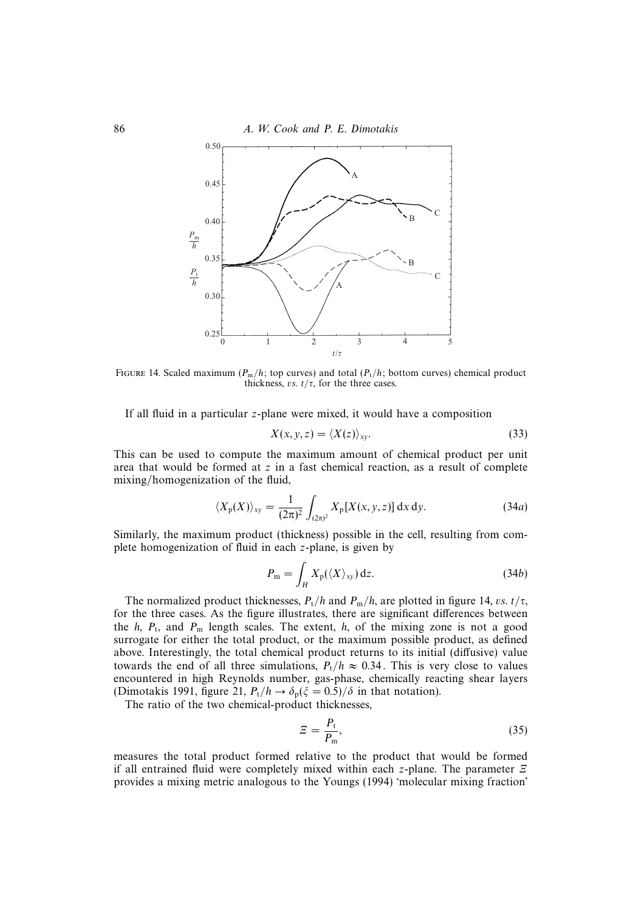86 **A.** W. Cook and P. E. Dimotakis



FIGURE 14. Scaled maximum  $(P_m/h;$  top curves) and total  $(P_t/h;$  bottom curves) chemical product thickness, *vs.*  $t/\tau$ , for the three cases.

If all fluid in a particular z-plane were mixed, it would have a composition

$$
X(x, y, z) = \langle X(z) \rangle_{xy}.
$$
\n(33)

This can be used to compute the maximum amount of chemical product per unit area that would be formed at  $z$  in a fast chemical reaction, as a result of complete mixing/homogenization of the fluid,

$$
\langle X_{\rm p}(X) \rangle_{\rm xy} = \frac{1}{(2\pi)^2} \int_{(2\pi)^2} X_{\rm p}[X(x, y, z)] \, \mathrm{d}x \, \mathrm{d}y. \tag{34a}
$$

Similarly, the maximum product (thickness) possible in the cell, resulting from complete homogenization of fluid in each z-plane, is given by

$$
P_{\rm m} = \int_H X_{\rm p}(\langle X \rangle_{xy}) \,\mathrm{d}z. \tag{34b}
$$

The normalized product thicknesses,  $P_t/h$  and  $P_m/h$ , are plotted in figure 14, vs.  $t/\tau$ , for the three cases. As the figure illustrates, there are significant differences between the  $h$ ,  $P_t$ , and  $P_m$  length scales. The extent,  $h$ , of the mixing zone is not a good surrogate for either the total product, or the maximum possible product, as defined above. Interestingly, the total chemical product returns to its initial (diffusive) value towards the end of all three simulations,  $P_t/h \approx 0.34$ . This is very close to values encountered in high Reynolds number, gas-phase, chemically reacting shear layers (Dimotakis 1991, figure 21,  $P_t/h \rightarrow \delta_p(\xi = 0.5)/\delta$  in that notation).

The ratio of the two chemical-product thicknesses,

$$
E = \frac{P_{\rm t}}{P_{\rm m}},\tag{35}
$$

measures the total product formed relative to the product that would be formed if all entrained fluid were completely mixed within each z-plane. The parameter  $\Xi$ provides a mixing metric analogous to the Youngs (1994) 'molecular mixing fraction'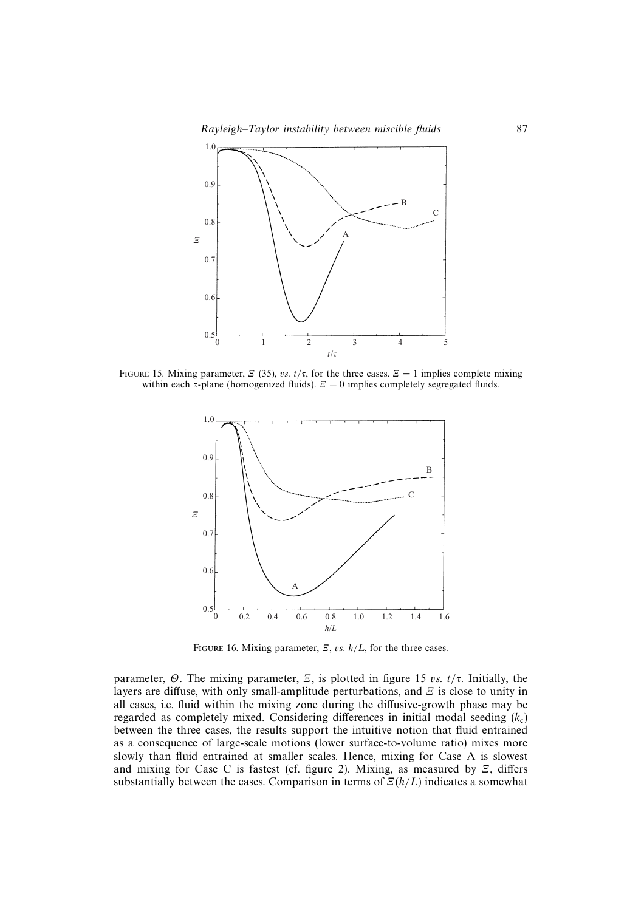# Rayleigh–Taylor instability between miscible fluids 87



FIGURE 15. Mixing parameter,  $\Xi$  (35), vs.  $t/\tau$ , for the three cases.  $\Xi = 1$  implies complete mixing within each z-plane (homogenized fluids).  $E = 0$  implies completely segregated fluids.



FIGURE 16. Mixing parameter,  $E$ , vs.  $h/L$ , for the three cases.

parameter,  $\Theta$ . The mixing parameter,  $\Xi$ , is plotted in figure 15 vs.  $t/\tau$ . Initially, the layers are diffuse, with only small-amplitude perturbations, and  $\mathcal E$  is close to unity in all cases, i.e. fluid within the mixing zone during the diffusive-growth phase may be regarded as completely mixed. Considering differences in initial modal seeding  $(k_c)$ between the three cases, the results support the intuitive notion that fluid entrained as a consequence of large-scale motions (lower surface-to-volume ratio) mixes more slowly than fluid entrained at smaller scales. Hence, mixing for Case A is slowest and mixing for Case C is fastest (cf. figure 2). Mixing, as measured by  $E$ , differs substantially between the cases. Comparison in terms of  $E(h/L)$  indicates a somewhat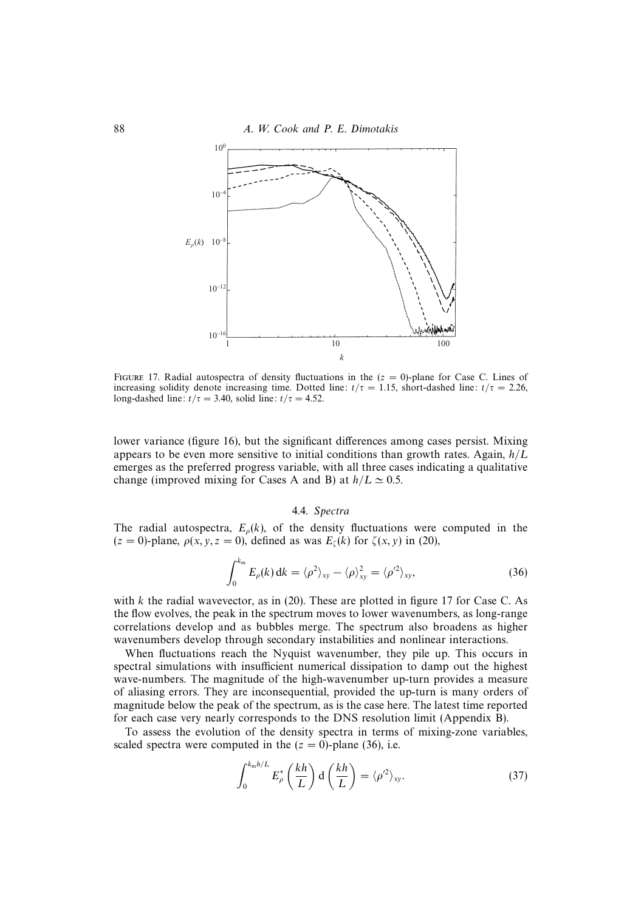

FIGURE 17. Radial autospectra of density fluctuations in the  $(z = 0)$ -plane for Case C. Lines of increasing solidity denote increasing time. Dotted line:  $t/\tau = 1.15$ , short-dashed line:  $t/\tau = 2.26$ , long-dashed line:  $t/\tau = 3.40$ , solid line:  $t/\tau = 4.52$ .

lower variance (figure 16), but the significant differences among cases persist. Mixing appears to be even more sensitive to initial conditions than growth rates. Again,  $h/L$ emerges as the preferred progress variable, with all three cases indicating a qualitative change (improved mixing for Cases A and B) at  $h/L \simeq 0.5$ .

## 4.4. Spectra

The radial autospectra,  $E_{\rho}(k)$ , of the density fluctuations were computed in the  $(z = 0)$ -plane,  $\rho(x, y, z = 0)$ , defined as was  $E_{\zeta}(k)$  for  $\zeta(x, y)$  in (20),

$$
\int_0^{k_m} E_{\rho}(k) \, \mathrm{d}k = \langle \rho^2 \rangle_{xy} - \langle \rho \rangle_{xy}^2 = \langle \rho'^2 \rangle_{xy},\tag{36}
$$

with k the radial wavevector, as in  $(20)$ . These are plotted in figure 17 for Case C. As the flow evolves, the peak in the spectrum moves to lower wavenumbers, as long-range correlations develop and as bubbles merge. The spectrum also broadens as higher wavenumbers develop through secondary instabilities and nonlinear interactions.

When fluctuations reach the Nyquist wavenumber, they pile up. This occurs in spectral simulations with insufficient numerical dissipation to damp out the highest wave-numbers. The magnitude of the high-wavenumber up-turn provides a measure of aliasing errors. They are inconsequential, provided the up-turn is many orders of magnitude below the peak of the spectrum, as is the case here. The latest time reported for each case very nearly corresponds to the DNS resolution limit (Appendix B).

To assess the evolution of the density spectra in terms of mixing-zone variables, scaled spectra were computed in the  $(z = 0)$ -plane (36), i.e.

$$
\int_0^{k_m h/L} E_\rho^* \left(\frac{k h}{L}\right) d\left(\frac{k h}{L}\right) = \langle \rho'^2 \rangle_{xy}.
$$
 (37)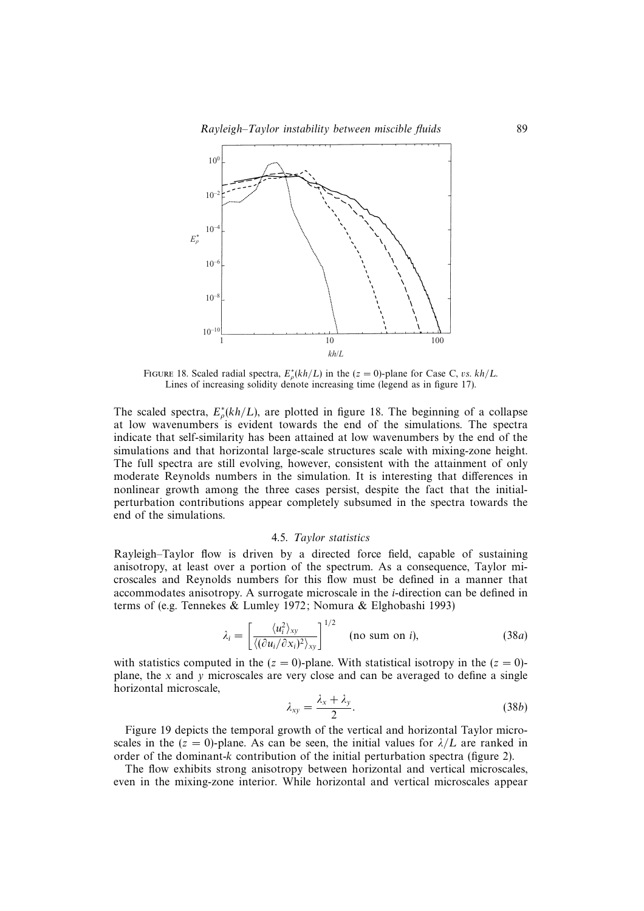

FIGURE 18. Scaled radial spectra,  $E_{\rho}^*(kh/L)$  in the  $(z = 0)$ -plane for Case C, vs.  $kh/L$ . Lines of increasing solidity denote increasing time (legend as in figure 17).

The scaled spectra,  $E_{\rho}^*(kh/L)$ , are plotted in figure 18. The beginning of a collapse at low wavenumbers is evident towards the end of the simulations. The spectra indicate that self-similarity has been attained at low wavenumbers by the end of the simulations and that horizontal large-scale structures scale with mixing-zone height. The full spectra are still evolving, however, consistent with the attainment of only moderate Reynolds numbers in the simulation. It is interesting that differences in nonlinear growth among the three cases persist, despite the fact that the initialperturbation contributions appear completely subsumed in the spectra towards the end of the simulations.

## 4.5. Taylor statistics

Rayleigh–Taylor flow is driven by a directed force field, capable of sustaining anisotropy, at least over a portion of the spectrum. As a consequence, Taylor microscales and Reynolds numbers for this flow must be defined in a manner that accommodates anisotropy. A surrogate microscale in the i-direction can be defined in terms of (e.g. Tennekes & Lumley 1972; Nomura & Elghobashi 1993)

$$
\lambda_i = \left[ \frac{\langle u_i^2 \rangle_{xy}}{\langle (\partial u_i / \partial x_i)^2 \rangle_{xy}} \right]^{1/2} \quad \text{(no sum on } i\text{)},\tag{38a}
$$

with statistics computed in the  $(z = 0)$ -plane. With statistical isotropy in the  $(z = 0)$ plane, the x and y microscales are very close and can be averaged to define a single horizontal microscale,

$$
\lambda_{xy} = \frac{\lambda_x + \lambda_y}{2}.\tag{38b}
$$

Figure 19 depicts the temporal growth of the vertical and horizontal Taylor microscales in the (z = 0)-plane. As can be seen, the initial values for  $\lambda/L$  are ranked in order of the dominant-k contribution of the initial perturbation spectra (figure 2).

The flow exhibits strong anisotropy between horizontal and vertical microscales, even in the mixing-zone interior. While horizontal and vertical microscales appear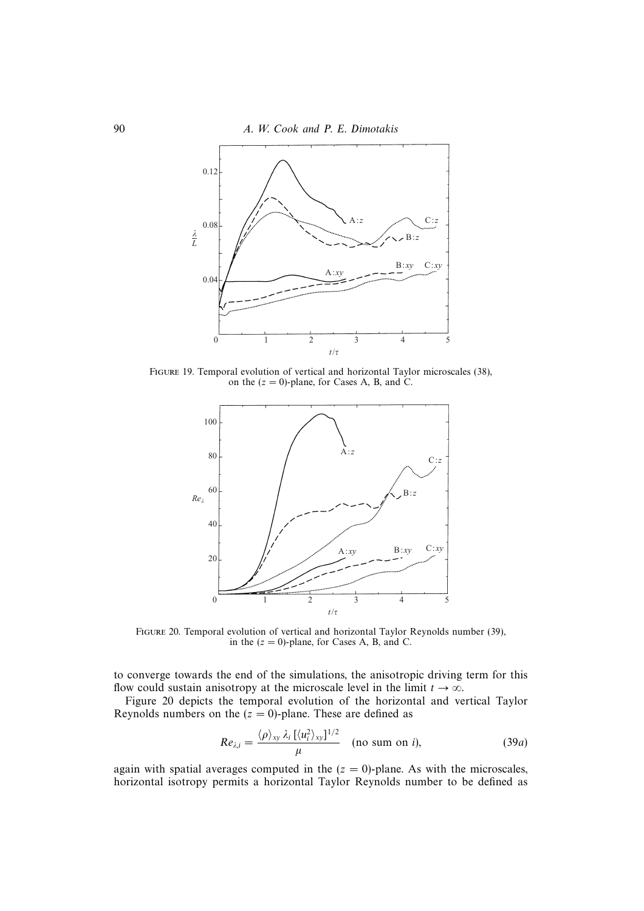

Figure 19. Temporal evolution of vertical and horizontal Taylor microscales (38), on the  $(z = 0)$ -plane, for Cases A, B, and C.



Figure 20. Temporal evolution of vertical and horizontal Taylor Reynolds number (39), in the  $(z = 0)$ -plane, for Cases A, B, and C.

to converge towards the end of the simulations, the anisotropic driving term for this flow could sustain anisotropy at the microscale level in the limit  $t \to \infty$ .

Figure 20 depicts the temporal evolution of the horizontal and vertical Taylor Reynolds numbers on the  $(z = 0)$ -plane. These are defined as

$$
Re_{\lambda,i} = \frac{\langle \rho \rangle_{xy} \lambda_i \left[ \langle u_i^2 \rangle_{xy} \right]^{1/2}}{\mu} \quad \text{(no sum on } i\text{)},\tag{39a}
$$

again with spatial averages computed in the  $(z = 0)$ -plane. As with the microscales, horizontal isotropy permits a horizontal Taylor Reynolds number to be defined as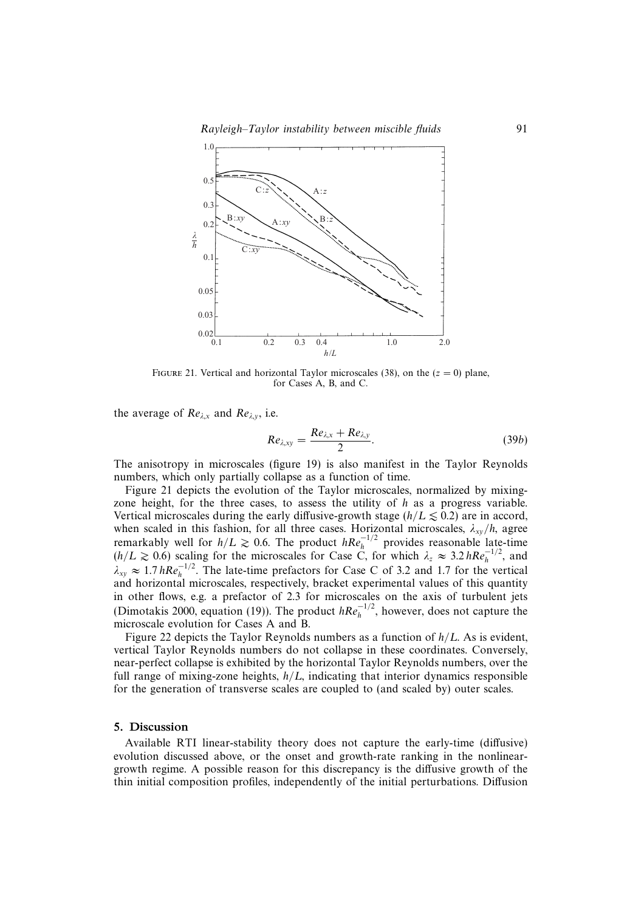

FIGURE 21. Vertical and horizontal Taylor microscales (38), on the  $(z = 0)$  plane, for Cases A, B, and C.

the average of  $Re_{\lambda,x}$  and  $Re_{\lambda,y}$ , i.e.

$$
Re_{\lambda,xy} = \frac{Re_{\lambda,x} + Re_{\lambda,y}}{2}.
$$
 (39b)

The anisotropy in microscales (figure 19) is also manifest in the Taylor Reynolds numbers, which only partially collapse as a function of time.

Figure 21 depicts the evolution of the Taylor microscales, normalized by mixingzone height, for the three cases, to assess the utility of  $h$  as a progress variable. Vertical microscales during the early diffusive-growth stage  $(h/L \leq 0.2)$  are in accord, when scaled in this fashion, for all three cases. Horizontal microscales,  $\lambda_{xy}/h$ , agree remarkably well for  $h/L \ge 0.6$ . The product  $hRe<sub>h</sub><sup>-1/2</sup>$  provides reasonable late-time  $(h/L \ge 0.6)$  scaling for the microscales for Case C, for which  $\lambda_z \approx 3.2 hRe_h^{-1/2}$ , and  $\lambda_{xy} \approx 1.7 hRe_h^{-1/2}$ . The late-time prefactors for Case C of 3.2 and 1.7 for the vertical and horizontal microscales, respectively, bracket experimental values of this quantity in other flows, e.g. a prefactor of 2.3 for microscales on the axis of turbulent jets (Dimotakis 2000, equation (19)). The product  $hRe<sub>h</sub><sup>-1/2</sup>$ , however, does not capture the microscale evolution for Cases A and B.

Figure 22 depicts the Taylor Reynolds numbers as a function of  $h/L$ . As is evident, vertical Taylor Reynolds numbers do not collapse in these coordinates. Conversely, near-perfect collapse is exhibited by the horizontal Taylor Reynolds numbers, over the full range of mixing-zone heights,  $h/L$ , indicating that interior dynamics responsible for the generation of transverse scales are coupled to (and scaled by) outer scales.

## 5. Discussion

Available RTI linear-stability theory does not capture the early-time (diffusive) evolution discussed above, or the onset and growth-rate ranking in the nonlineargrowth regime. A possible reason for this discrepancy is the diffusive growth of the thin initial composition profiles, independently of the initial perturbations. Diffusion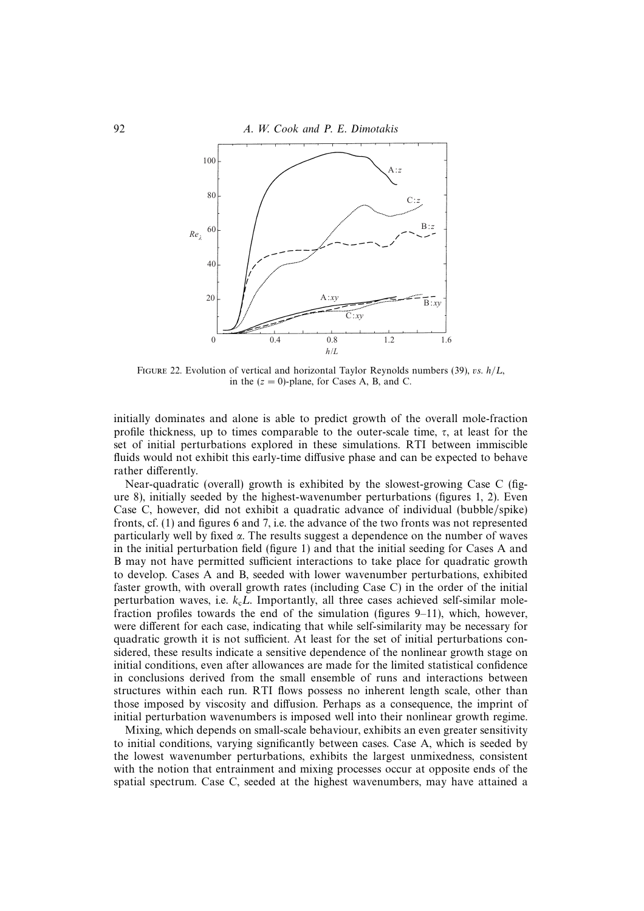

FIGURE 22. Evolution of vertical and horizontal Taylor Reynolds numbers (39), vs.  $h/L$ , in the  $(z = 0)$ -plane, for Cases A, B, and C.

initially dominates and alone is able to predict growth of the overall mole-fraction profile thickness, up to times comparable to the outer-scale time,  $\tau$ , at least for the set of initial perturbations explored in these simulations. RTI between immiscible fluids would not exhibit this early-time diffusive phase and can be expected to behave rather differently.

Near-quadratic (overall) growth is exhibited by the slowest-growing Case C (figure 8), initially seeded by the highest-wavenumber perturbations (figures 1, 2). Even Case C, however, did not exhibit a quadratic advance of individual (bubble/spike) fronts, cf. (1) and figures 6 and 7, i.e. the advance of the two fronts was not represented particularly well by fixed  $\alpha$ . The results suggest a dependence on the number of waves in the initial perturbation field (figure 1) and that the initial seeding for Cases A and B may not have permitted sufficient interactions to take place for quadratic growth to develop. Cases A and B, seeded with lower wavenumber perturbations, exhibited faster growth, with overall growth rates (including Case C) in the order of the initial perturbation waves, i.e.  $k_{c}L$ . Importantly, all three cases achieved self-similar molefraction profiles towards the end of the simulation (figures 9–11), which, however, were different for each case, indicating that while self-similarity may be necessary for quadratic growth it is not sufficient. At least for the set of initial perturbations considered, these results indicate a sensitive dependence of the nonlinear growth stage on initial conditions, even after allowances are made for the limited statistical confidence in conclusions derived from the small ensemble of runs and interactions between structures within each run. RTI flows possess no inherent length scale, other than those imposed by viscosity and diffusion. Perhaps as a consequence, the imprint of initial perturbation wavenumbers is imposed well into their nonlinear growth regime.

Mixing, which depends on small-scale behaviour, exhibits an even greater sensitivity to initial conditions, varying significantly between cases. Case A, which is seeded by the lowest wavenumber perturbations, exhibits the largest unmixedness, consistent with the notion that entrainment and mixing processes occur at opposite ends of the spatial spectrum. Case C, seeded at the highest wavenumbers, may have attained a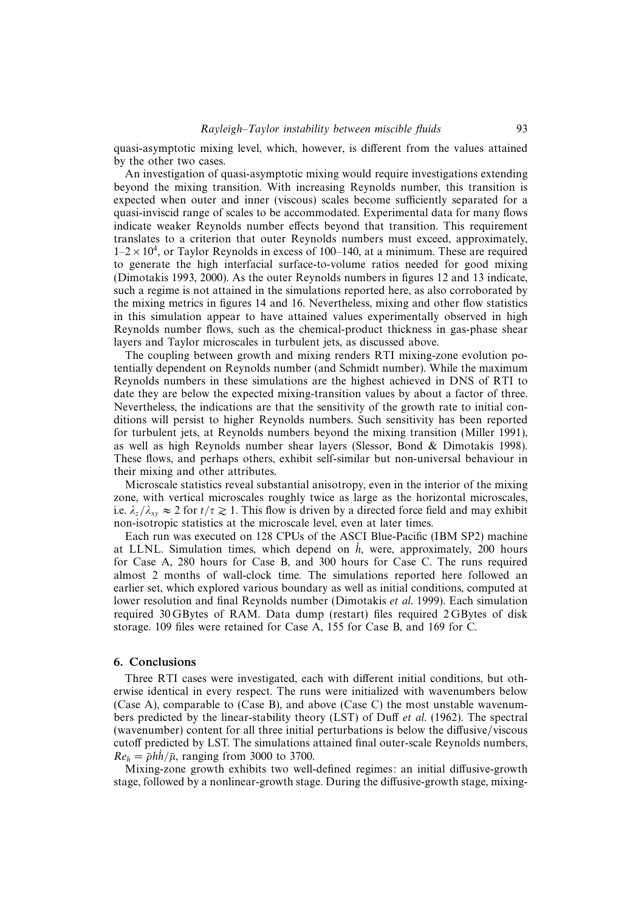quasi-asymptotic mixing level, which, however, is different from the values attained by the other two cases.

An investigation of quasi-asymptotic mixing would require investigations extending beyond the mixing transition. With increasing Reynolds number, this transition is expected when outer and inner (viscous) scales become sufficiently separated for a quasi-inviscid range of scales to be accommodated. Experimental data for many flows indicate weaker Reynolds number effects beyond that transition. This requirement translates to a criterion that outer Reynolds numbers must exceed, approximately,  $1-2 \times 10^4$ , or Taylor Reynolds in excess of 100–140, at a minimum. These are required to generate the high interfacial surface-to-volume ratios needed for good mixing (Dimotakis 1993, 2000). As the outer Reynolds numbers in figures 12 and 13 indicate, such a regime is not attained in the simulations reported here, as also corroborated by the mixing metrics in figures 14 and 16. Nevertheless, mixing and other flow statistics in this simulation appear to have attained values experimentally observed in high Reynolds number flows, such as the chemical-product thickness in gas-phase shear layers and Taylor microscales in turbulent jets, as discussed above.

The coupling between growth and mixing renders RTI mixing-zone evolution potentially dependent on Reynolds number (and Schmidt number). While the maximum Reynolds numbers in these simulations are the highest achieved in DNS of RTI to date they are below the expected mixing-transition values by about a factor of three. Nevertheless, the indications are that the sensitivity of the growth rate to initial conditions will persist to higher Reynolds numbers. Such sensitivity has been reported for turbulent jets, at Reynolds numbers beyond the mixing transition (Miller 1991), as well as high Reynolds number shear layers (Slessor, Bond & Dimotakis 1998). These flows, and perhaps others, exhibit self-similar but non-universal behaviour in their mixing and other attributes.

Microscale statistics reveal substantial anisotropy, even in the interior of the mixing zone, with vertical microscales roughly twice as large as the horizontal microscales, i.e.  $\lambda_z/\lambda_{xy} \approx 2$  for  $t/\tau \ge 1$ . This flow is driven by a directed force field and may exhibit non-isotropic statistics at the microscale level, even at later times.

Each run was executed on 128 CPUs of the ASCI Blue-Pacific (IBM SP2) machine at LLNL. Simulation times, which depend on  $h$ , were, approximately, 200 hours for Case A, 280 hours for Case B, and 300 hours for Case C. The runs required almost 2 months of wall-clock time. The simulations reported here followed an earlier set, which explored various boundary as well as initial conditions, computed at lower resolution and final Reynolds number (Dimotakis *et al.* 1999). Each simulation required 30 GBytes of RAM. Data dump (restart) files required 2 GBytes of disk storage. 109 files were retained for Case A, 155 for Case B, and 169 for C.

# 6. Conclusions

Three RTI cases were investigated, each with different initial conditions, but otherwise identical in every respect. The runs were initialized with wavenumbers below (Case A), comparable to (Case B), and above (Case C) the most unstable wavenumbers predicted by the linear-stability theory (LST) of Duff et al. (1962). The spectral (wavenumber) content for all three initial perturbations is below the diffusive/viscous cutoff predicted by LST. The simulations attained final outer-scale Reynolds numbers,  $Re_h = \bar{\rho} h \dot{h}/\bar{\mu}$ , ranging from 3000 to 3700.

Mixing-zone growth exhibits two well-defined regimes: an initial diffusive-growth stage, followed by a nonlinear-growth stage. During the diffusive-growth stage, mixing-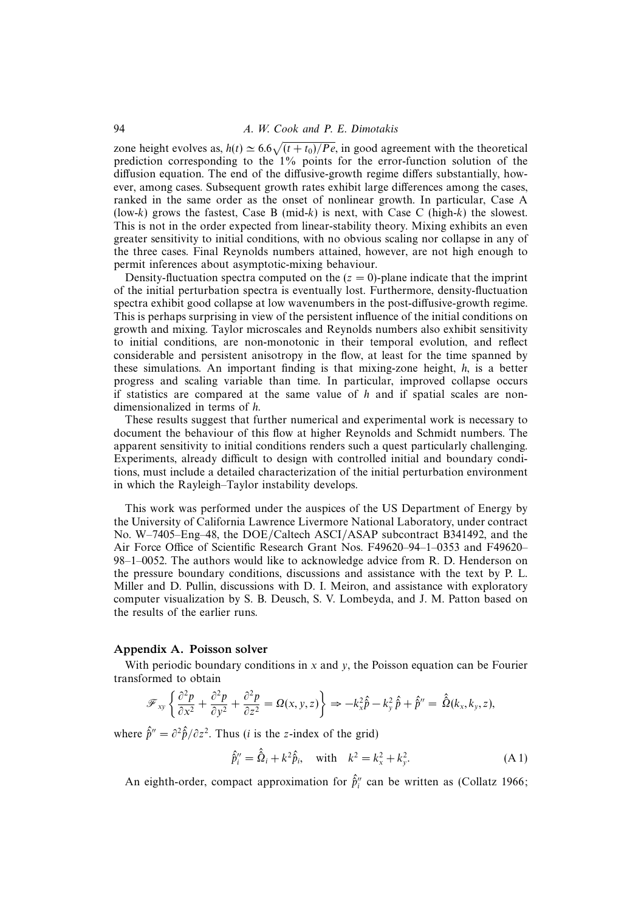zone height evolves as,  $h(t) \approx 6.6 \sqrt{(t + t_0)/Pe}$ , in good agreement with the theoretical prediction corresponding to the 1% points for the error-function solution of the diffusion equation. The end of the diffusive-growth regime differs substantially, however, among cases. Subsequent growth rates exhibit large differences among the cases, ranked in the same order as the onset of nonlinear growth. In particular, Case A (low-k) grows the fastest, Case B (mid-k) is next, with Case C (high-k) the slowest. This is not in the order expected from linear-stability theory. Mixing exhibits an even greater sensitivity to initial conditions, with no obvious scaling nor collapse in any of the three cases. Final Reynolds numbers attained, however, are not high enough to permit inferences about asymptotic-mixing behaviour.

Density-fluctuation spectra computed on the  $(z = 0)$ -plane indicate that the imprint of the initial perturbation spectra is eventually lost. Furthermore, density-fluctuation spectra exhibit good collapse at low wavenumbers in the post-diffusive-growth regime. This is perhaps surprising in view of the persistent influence of the initial conditions on growth and mixing. Taylor microscales and Reynolds numbers also exhibit sensitivity to initial conditions, are non-monotonic in their temporal evolution, and reflect considerable and persistent anisotropy in the flow, at least for the time spanned by these simulations. An important finding is that mixing-zone height,  $h$ , is a better progress and scaling variable than time. In particular, improved collapse occurs if statistics are compared at the same value of  $h$  and if spatial scales are nondimensionalized in terms of h.

These results suggest that further numerical and experimental work is necessary to document the behaviour of this flow at higher Reynolds and Schmidt numbers. The apparent sensitivity to initial conditions renders such a quest particularly challenging. Experiments, already difficult to design with controlled initial and boundary conditions, must include a detailed characterization of the initial perturbation environment in which the Rayleigh–Taylor instability develops.

This work was performed under the auspices of the US Department of Energy by the University of California Lawrence Livermore National Laboratory, under contract No. W–7405–Eng–48, the DOE/Caltech ASCI/ASAP subcontract B341492, and the Air Force Office of Scientific Research Grant Nos. F49620–94–1–0353 and F49620– 98–1–0052. The authors would like to acknowledge advice from R. D. Henderson on the pressure boundary conditions, discussions and assistance with the text by P. L. Miller and D. Pullin, discussions with D. I. Meiron, and assistance with exploratory computer visualization by S. B. Deusch, S. V. Lombeyda, and J. M. Patton based on the results of the earlier runs.

#### Appendix A. Poisson solver

With periodic boundary conditions in x and  $y$ , the Poisson equation can be Fourier transformed to obtain

$$
\mathscr{F}_{xy}\left\{\frac{\partial^2 p}{\partial x^2} + \frac{\partial^2 p}{\partial y^2} + \frac{\partial^2 p}{\partial z^2} = \Omega(x, y, z)\right\} \Rightarrow -k_x^2 \hat{p} - k_y^2 \hat{p} + \hat{p}'' = \hat{\Omega}(k_x, k_y, z),
$$

where  $\hat{p}'' = \frac{\partial^2 \hat{p}}{\partial z^2}$ . Thus (*i* is the z-index of the grid)

$$
\hat{\hat{p}}''_i = \hat{\hat{\Omega}}_i + k^2 \hat{\hat{p}}_i
$$
, with  $k^2 = k_x^2 + k_y^2$ . (A1)

An eighth-order, compact approximation for  $\hat{p}_i^{\prime\prime}$  can be written as (Collatz 1966;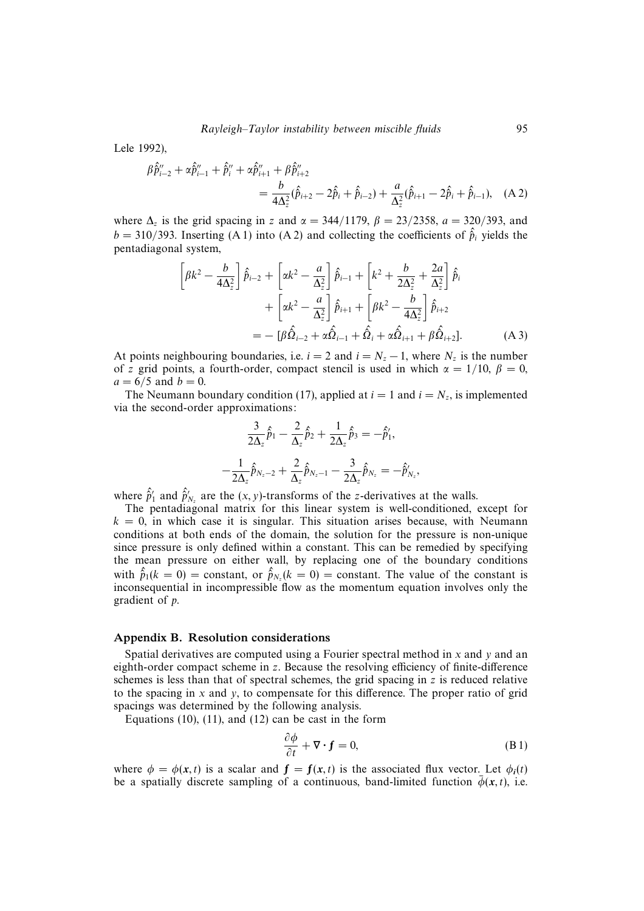Lele 1992),

$$
\beta \hat{p}_{i-2}'' + \alpha \hat{p}_{i-1}'' + \hat{p}_i'' + \alpha \hat{p}_{i+1}'' + \beta \hat{p}_{i+2}''
$$
  
= 
$$
\frac{b}{4\Delta_z^2} (\hat{p}_{i+2} - 2\hat{p}_i + \hat{p}_{i-2}) + \frac{a}{\Delta_z^2} (\hat{p}_{i+1} - 2\hat{p}_i + \hat{p}_{i-1}),
$$
 (A 2)

where  $\Delta_z$  is the grid spacing in z and  $\alpha = 344/1179$ ,  $\beta = 23/2358$ ,  $a = 320/393$ , and  $b = 310/393$ . Inserting (A 1) into (A 2) and collecting the coefficients of  $\hat{p}_i$  yields the pentadiagonal system,

$$
\left[\beta k^2 - \frac{b}{4\Delta_z^2}\right] \hat{p}_{i-2} + \left[\alpha k^2 - \frac{a}{\Delta_z^2}\right] \hat{p}_{i-1} + \left[k^2 + \frac{b}{2\Delta_z^2} + \frac{2a}{\Delta_z^2}\right] \hat{p}_i \n+ \left[\alpha k^2 - \frac{a}{\Delta_z^2}\right] \hat{p}_{i+1} + \left[\beta k^2 - \frac{b}{4\Delta_z^2}\right] \hat{p}_{i+2} \n= -\left[\beta \hat{\Omega}_{i-2} + \alpha \hat{\Omega}_{i-1} + \hat{\Omega}_{i} + \alpha \hat{\Omega}_{i+1} + \beta \hat{\Omega}_{i+2}\right].
$$
\n(A3)

At points neighbouring boundaries, i.e.  $i = 2$  and  $i = N_z - 1$ , where  $N_z$  is the number of z grid points, a fourth-order, compact stencil is used in which  $\alpha = 1/10$ ,  $\beta = 0$ ,  $a = 6/5$  and  $b = 0$ .

The Neumann boundary condition (17), applied at  $i = 1$  and  $i = N_z$ , is implemented via the second-order approximations:

$$
\frac{3}{2\Delta_z}\hat{p}_1 - \frac{2}{\Delta_z}\hat{p}_2 + \frac{1}{2\Delta_z}\hat{p}_3 = -\hat{p}'_1,
$$

$$
-\frac{1}{2\Delta_z}\hat{p}_{N_z-2} + \frac{2}{\Delta_z}\hat{p}_{N_z-1} - \frac{3}{2\Delta_z}\hat{p}_{N_z} = -\hat{p}'_{N_z},
$$

where  $\hat{p}'_1$  and  $\hat{p}'_{N_z}$  are the  $(x, y)$ -transforms of the z-derivatives at the walls.

The pentadiagonal matrix for this linear system is well-conditioned, except for  $k = 0$ , in which case it is singular. This situation arises because, with Neumann conditions at both ends of the domain, the solution for the pressure is non-unique since pressure is only defined within a constant. This can be remedied by specifying the mean pressure on either wall, by replacing one of the boundary conditions with  $\hat{p}_1(k=0)$  = constant, or  $\hat{p}_{N_z}(k=0)$  = constant. The value of the constant is inconsequential in incompressible flow as the momentum equation involves only the gradient of p.

## Appendix B. Resolution considerations

Spatial derivatives are computed using a Fourier spectral method in  $x$  and  $y$  and an eighth-order compact scheme in z. Because the resolving efficiency of finite-difference schemes is less than that of spectral schemes, the grid spacing in z is reduced relative to the spacing in  $x$  and  $y$ , to compensate for this difference. The proper ratio of grid spacings was determined by the following analysis.

Equations (10), (11), and (12) can be cast in the form

$$
\frac{\partial \phi}{\partial t} + \nabla \cdot \mathbf{f} = 0, \tag{B1}
$$

where  $\phi = \phi(x, t)$  is a scalar and  $f = f(x, t)$  is the associated flux vector. Let  $\phi_i(t)$ be a spatially discrete sampling of a continuous, band-limited function  $\bar{\phi}(x, t)$ , i.e.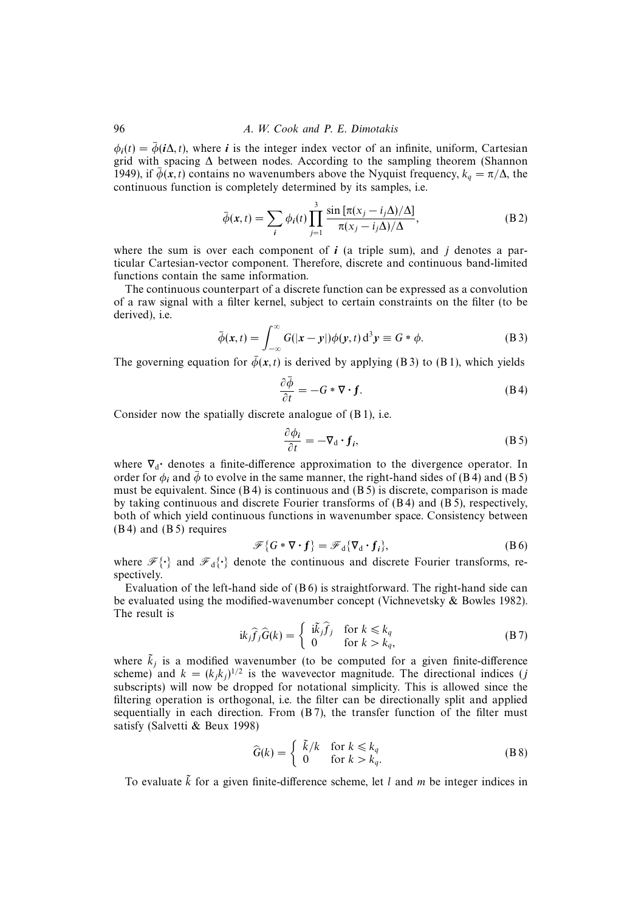$\phi_i(t) = \bar{\phi}(i\Delta, t)$ , where *i* is the integer index vector of an infinite, uniform, Cartesian grid with spacing ∆ between nodes. According to the sampling theorem (Shannon 1949), if  $\bar{\phi}(x, t)$  contains no wavenumbers above the Nyquist frequency,  $k_q = \pi/\Delta$ , the continuous function is completely determined by its samples, i.e.

$$
\bar{\phi}(\mathbf{x},t) = \sum_{i} \phi_i(t) \prod_{j=1}^3 \frac{\sin \left[ \pi(x_j - i_j \Delta)/\Delta \right]}{\pi(x_j - i_j \Delta)/\Delta},\tag{B.2}
$$

where the sum is over each component of *i* (a triple sum), and *j* denotes a particular Cartesian-vector component. Therefore, discrete and continuous band-limited functions contain the same information.

The continuous counterpart of a discrete function can be expressed as a convolution of a raw signal with a filter kernel, subject to certain constraints on the filter (to be derived), i.e.

$$
\bar{\phi}(\mathbf{x},t) = \int_{-\infty}^{\infty} G(|\mathbf{x} - \mathbf{y}|) \phi(\mathbf{y},t) d^3 \mathbf{y} \equiv G * \phi.
$$
 (B3)

The governing equation for  $\bar{\phi}(x, t)$  is derived by applying (B 3) to (B 1), which yields

$$
\frac{\partial \bar{\phi}}{\partial t} = -G * \nabla \cdot \mathbf{f}.
$$
 (B4)

Consider now the spatially discrete analogue of (B 1), i.e.

$$
\frac{\partial \phi_i}{\partial t} = -\nabla_\mathrm{d} \cdot \mathbf{f}_i,\tag{B.5}
$$

where  $\nabla_d$  denotes a finite-difference approximation to the divergence operator. In order for  $\phi_i$  and  $\bar{\phi}$  to evolve in the same manner, the right-hand sides of (B4) and (B5) must be equivalent. Since  $(B 4)$  is continuous and  $(B 5)$  is discrete, comparison is made by taking continuous and discrete Fourier transforms of (B 4) and (B 5), respectively, both of which yield continuous functions in wavenumber space. Consistency between (B 4) and (B 5) requires

$$
\mathscr{F}\{G*\nabla \cdot \mathbf{f}\} = \mathscr{F}_d\{\nabla_d \cdot \mathbf{f}_i\},\tag{B6}
$$

where  $\mathcal{F}\{\cdot\}$  and  $\mathcal{F}_d\{\cdot\}$  denote the continuous and discrete Fourier transforms, respectively.

Evaluation of the left-hand side of (B 6) is straightforward. The right-hand side can be evaluated using the modified-wavenumber concept (Vichnevetsky & Bowles 1982). The result is

$$
ik_j\widehat{f}_j\widehat{G}(k) = \begin{cases} i\widetilde{k}_j\widehat{f}_j & \text{for } k \le k_q \\ 0 & \text{for } k > k_q, \end{cases}
$$
 (B 7)

where  $\tilde{k}_i$  is a modified wavenumber (to be computed for a given finite-difference scheme) and  $k = (k_j k_j)^{1/2}$  is the wavevector magnitude. The directional indices (j subscripts) will now be dropped for notational simplicity. This is allowed since the filtering operation is orthogonal, i.e. the filter can be directionally split and applied sequentially in each direction. From  $(B 7)$ , the transfer function of the filter must satisfy (Salvetti & Beux 1998)

$$
\widehat{G}(k) = \begin{cases} \tilde{k}/k & \text{for } k \le k_q \\ 0 & \text{for } k > k_q. \end{cases}
$$
 (B8)

To evaluate  $\tilde{k}$  for a given finite-difference scheme, let l and m be integer indices in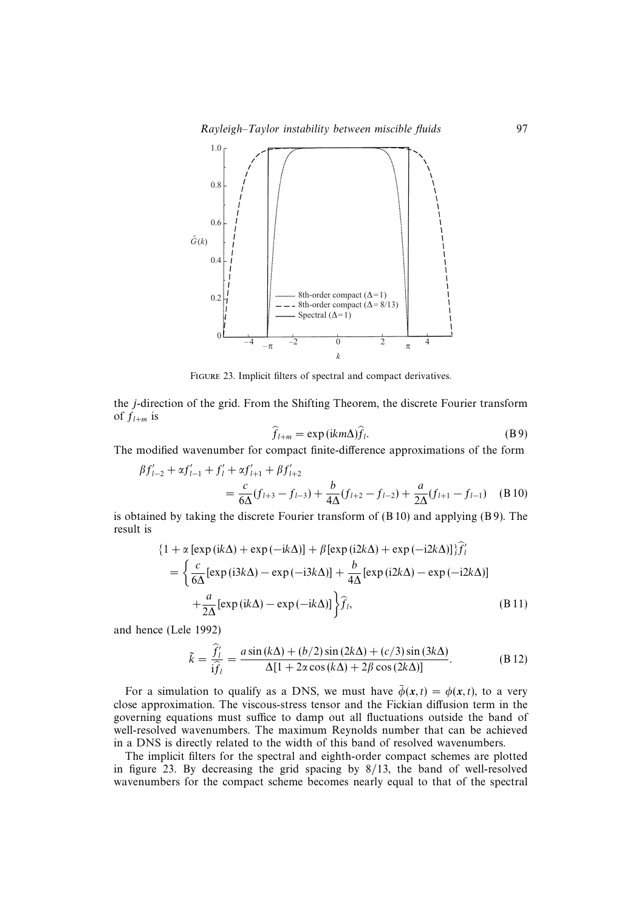Rayleigh–Taylor instability between miscible fluids 97



Figure 23. Implicit filters of spectral and compact derivatives.

the j-direction of the grid. From the Shifting Theorem, the discrete Fourier transform of  $f_{l+m}$  is

$$
\widehat{f}_{l+m} = \exp\left(ikm\Delta\right)\widehat{f}_l. \tag{B9}
$$

The modified wavenumber for compact finite-difference approximations of the form

$$
\beta f'_{l-2} + \alpha f'_{l-1} + f'_{l} + \alpha f'_{l+1} + \beta f'_{l+2}
$$
  
=  $\frac{c}{6\Delta}(f_{l+3} - f_{l-3}) + \frac{b}{4\Delta}(f_{l+2} - f_{l-2}) + \frac{a}{2\Delta}(f_{l+1} - f_{l-1})$  (B 10)

is obtained by taking the discrete Fourier transform of  $(B 10)$  and applying  $(B 9)$ . The result is

$$
\{1 + \alpha \left[\exp\left(ik\Delta\right) + \exp\left(-ik\Delta\right)\right] + \beta \left[\exp\left(i2k\Delta\right) + \exp\left(-i2k\Delta\right)\right]\} \hat{f}'_l
$$
  
= 
$$
\left\{\frac{c}{6\Delta} \left[\exp\left(i3k\Delta\right) - \exp\left(-i3k\Delta\right)\right] + \frac{b}{4\Delta} \left[\exp\left(i2k\Delta\right) - \exp\left(-i2k\Delta\right)\right] \right.
$$
  
+ 
$$
\frac{a}{2\Delta} \left[\exp\left(ik\Delta\right) - \exp\left(-ik\Delta\right)\right] \hat{f}_l,
$$
 (B 11)

and hence (Lele 1992)

$$
\tilde{k} = \frac{\hat{f}_l'}{\hat{i}\hat{f}_l} = \frac{a\sin(k\Delta) + (b/2)\sin(2k\Delta) + (c/3)\sin(3k\Delta)}{\Delta[1 + 2\alpha\cos(k\Delta) + 2\beta\cos(2k\Delta)]}.
$$
\n(B12)

For a simulation to qualify as a DNS, we must have  $\bar{\phi}(x, t) = \phi(x, t)$ , to a very close approximation. The viscous-stress tensor and the Fickian diffusion term in the governing equations must suffice to damp out all fluctuations outside the band of well-resolved wavenumbers. The maximum Reynolds number that can be achieved in a DNS is directly related to the width of this band of resolved wavenumbers.

The implicit filters for the spectral and eighth-order compact schemes are plotted in figure 23. By decreasing the grid spacing by  $8/13$ , the band of well-resolved wavenumbers for the compact scheme becomes nearly equal to that of the spectral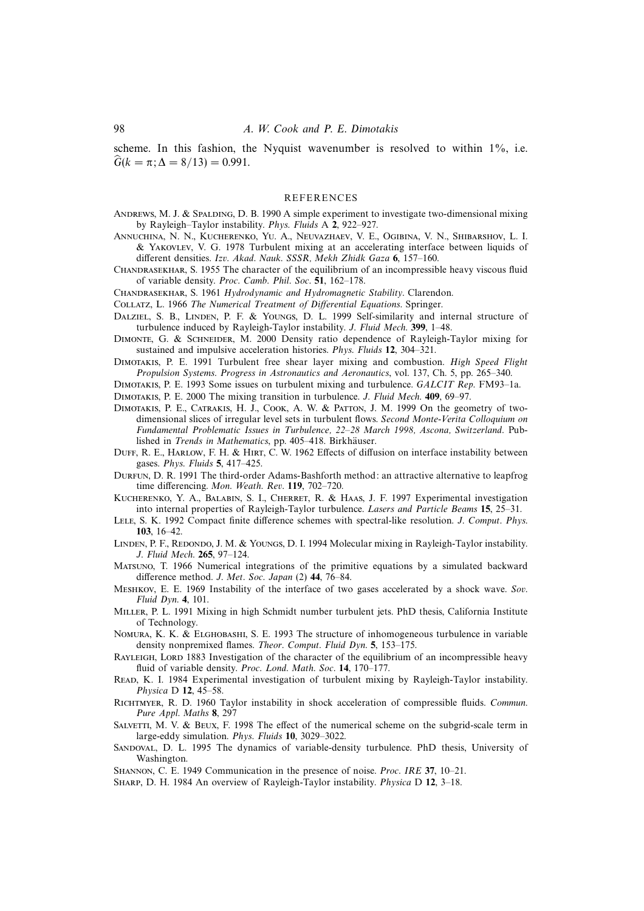scheme. In this fashion, the Nyquist wavenumber is resolved to within 1%, i.e.  $G(k = \pi; \Delta = 8/13) = 0.991$ .

#### REFERENCES

- ANDREWS, M. J.  $&$  Spalding, D. B. 1990 A simple experiment to investigate two-dimensional mixing by Rayleigh–Taylor instability. Phys. Fluids A **2**, 922–927.
- Annuchina, N. N., Kucherenko, Yu. A., Neuvazhaev, V. E., Ogibina, V. N., Shibarshov, L. I. & Yakovlev, V. G. 1978 Turbulent mixing at an accelerating interface between liquids of different densities. Izv. Akad. Nauk. SSSR, Mekh Zhidk Gaza **6**, 157–160.
- Chandrasekhar, S. 1955 The character of the equilibrium of an incompressible heavy viscous fluid of variable density. Proc. Camb. Phil. Soc. **51**, 162–178.
- CHANDRASEKHAR, S. 1961 Hydrodynamic and Hydromagnetic Stability. Clarendon.
- Collatz, L. 1966 The Numerical Treatment of Differential Equations. Springer.
- DALZIEL, S. B., LINDEN, P. F. & YOUNGS, D. L. 1999 Self-similarity and internal structure of turbulence induced by Rayleigh-Taylor instability. J. Fluid Mech. **399**, 1–48.
- DIMONTE, G. & SCHNEIDER, M. 2000 Density ratio dependence of Rayleigh-Taylor mixing for sustained and impulsive acceleration histories. Phys. Fluids **12**, 304–321.
- Dimotakis, P. E. 1991 Turbulent free shear layer mixing and combustion. High Speed Flight Propulsion Systems. Progress in Astronautics and Aeronautics, vol. 137, Ch. 5, pp. 265–340.
- Dimotakis, P. E. 1993 Some issues on turbulent mixing and turbulence. GALCIT Rep. FM93–1a.
- Dimotakis, P. E. 2000 The mixing transition in turbulence. J. Fluid Mech. **409**, 69–97.
- Dimotakis, P. E., Catrakis, H. J., Cook, A. W. & Patton, J. M. 1999 On the geometry of twodimensional slices of irregular level sets in turbulent flows. Second Monte-Verita Colloquium on Fundamental Problematic Issues in Turbulence, 22–28 March 1998, Ascona, Switzerland. Published in Trends in Mathematics, pp. 405–418. Birkhäuser.
- Duff, R. E., Harlow, F. H. & Hirt, C. W. 1962 Effects of diffusion on interface instability between gases. Phys. Fluids **5**, 417–425.
- Durfun, D. R. 1991 The third-order Adams-Bashforth method: an attractive alternative to leapfrog time differencing. Mon. Weath. Rev. **119**, 702–720.
- Kucherenko, Y. A., Balabin, S. I., Cherret, R. & Haas, J. F. 1997 Experimental investigation into internal properties of Rayleigh-Taylor turbulence. Lasers and Particle Beams **15**, 25–31.
- Lele, S. K. 1992 Compact finite difference schemes with spectral-like resolution. J. Comput. Phys. **103**, 16–42.
- LINDEN, P. F., REDONDO, J. M. & YOUNGS, D. I. 1994 Molecular mixing in Rayleigh-Taylor instability. J. Fluid Mech. **265**, 97–124.
- Matsuno, T. 1966 Numerical integrations of the primitive equations by a simulated backward difference method. J. Met. Soc. Japan (2) **44**, 76–84.
- Meshkov, E. E. 1969 Instability of the interface of two gases accelerated by a shock wave. Sov. Fluid Dyn. **4**, 101.
- Miller, P. L. 1991 Mixing in high Schmidt number turbulent jets. PhD thesis, California Institute of Technology.
- Nomura, K. K. & Elghobashi, S. E. 1993 The structure of inhomogeneous turbulence in variable density nonpremixed flames. Theor. Comput. Fluid Dyn. **5**, 153–175.
- RAYLEIGH, LORD 1883 Investigation of the character of the equilibrium of an incompressible heavy fluid of variable density. Proc. Lond. Math. Soc. **14**, 170–177.
- Read, K. I. 1984 Experimental investigation of turbulent mixing by Rayleigh-Taylor instability. Physica D **12**, 45–58.
- RICHTMYER, R. D. 1960 Taylor instability in shock acceleration of compressible fluids. Commun. Pure Appl. Maths **8**, 297
- SALVETTI, M. V. & BEUX, F. 1998 The effect of the numerical scheme on the subgrid-scale term in large-eddy simulation. Phys. Fluids **10**, 3029–3022.
- SANDOVAL, D. L. 1995 The dynamics of variable-density turbulence. PhD thesis, University of Washington.
- Shannon, C. E. 1949 Communication in the presence of noise. Proc. IRE **37**, 10–21.
- Sharp, D. H. 1984 An overview of Rayleigh-Taylor instability. Physica D **12**, 3–18.